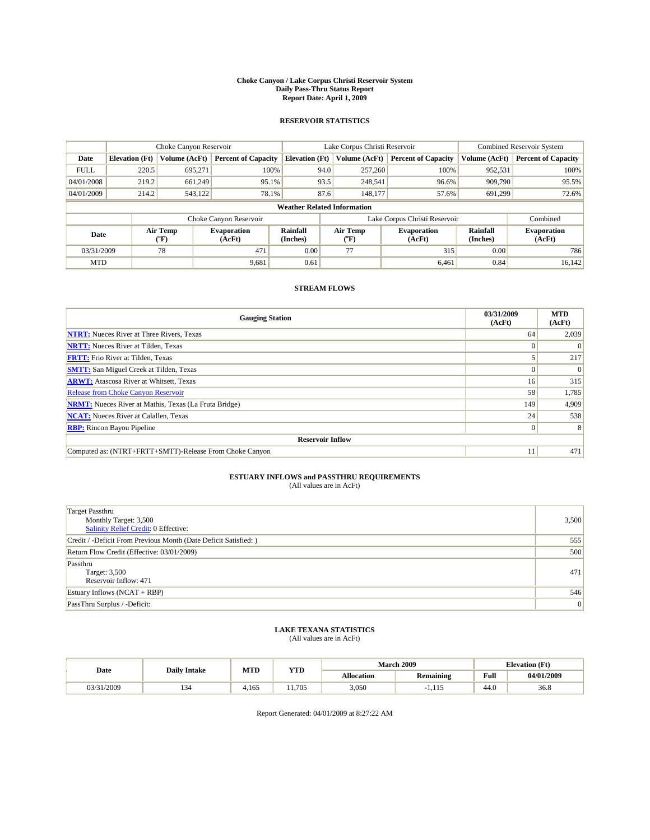#### **Choke Canyon / Lake Corpus Christi Reservoir System Daily Pass-Thru Status Report Report Date: April 1, 2009**

#### **RESERVOIR STATISTICS**

|             | Choke Canyon Reservoir             |                                           |                              |                       | Lake Corpus Christi Reservoir | <b>Combined Reservoir System</b> |                             |                              |  |  |
|-------------|------------------------------------|-------------------------------------------|------------------------------|-----------------------|-------------------------------|----------------------------------|-----------------------------|------------------------------|--|--|
| Date        | <b>Elevation</b> (Ft)              | Volume (AcFt)                             | <b>Percent of Capacity</b>   | <b>Elevation</b> (Ft) | Volume (AcFt)                 | <b>Percent of Capacity</b>       | Volume (AcFt)               | <b>Percent of Capacity</b>   |  |  |
| <b>FULL</b> | 220.5                              | 695,271                                   | 100%                         | 94.0                  | 257,260                       | 100%                             | 952,531                     | 100%                         |  |  |
| 04/01/2008  | 219.2                              | 661,249                                   | 95.1%                        | 93.5                  | 248,541                       | 96.6%                            | 909,790                     | 95.5%                        |  |  |
| 04/01/2009  | 214.2                              | 543,122                                   | 78.1%                        | 87.6                  | 148,177                       | 57.6%                            | 691.299                     | 72.6%                        |  |  |
|             | <b>Weather Related Information</b> |                                           |                              |                       |                               |                                  |                             |                              |  |  |
|             |                                    |                                           | Choke Canyon Reservoir       |                       |                               | Lake Corpus Christi Reservoir    |                             | Combined                     |  |  |
| Date        |                                    | Air Temp<br>$({}^{\mathrm{o}}\mathrm{F})$ | <b>Evaporation</b><br>(AcFt) | Rainfall<br>(Inches)  | Air Temp<br>(°F)              | <b>Evaporation</b><br>(AcFt)     | <b>Rainfall</b><br>(Inches) | <b>Evaporation</b><br>(AcFt) |  |  |
| 03/31/2009  |                                    | 78                                        | 471                          | 0.00                  | 77                            | 315                              | 0.00                        | 786                          |  |  |
| <b>MTD</b>  |                                    |                                           | 9,681                        | 0.61                  |                               | 6.461                            | 0.84                        | 16,142                       |  |  |

### **STREAM FLOWS**

| <b>Gauging Station</b>                                       | 03/31/2009<br>(AcFt) | <b>MTD</b><br>(AcFt) |  |  |  |  |
|--------------------------------------------------------------|----------------------|----------------------|--|--|--|--|
| <b>NTRT:</b> Nueces River at Three Rivers, Texas             | 64                   | 2,039                |  |  |  |  |
| <b>NRTT:</b> Nueces River at Tilden, Texas                   |                      |                      |  |  |  |  |
| <b>FRTT:</b> Frio River at Tilden, Texas                     |                      | 217                  |  |  |  |  |
| <b>SMTT:</b> San Miguel Creek at Tilden, Texas               | $\Omega$             | $\Omega$             |  |  |  |  |
| <b>ARWT:</b> Atascosa River at Whitsett, Texas               | 16 <sup>1</sup>      | 315                  |  |  |  |  |
| <b>Release from Choke Canyon Reservoir</b>                   | 58                   | 1,785                |  |  |  |  |
| <b>NRMT:</b> Nueces River at Mathis, Texas (La Fruta Bridge) | 149                  | 4,909                |  |  |  |  |
| <b>NCAT:</b> Nueces River at Calallen, Texas                 | 24                   | 538                  |  |  |  |  |
| <b>RBP:</b> Rincon Bayou Pipeline                            | $\overline{0}$       | 8                    |  |  |  |  |
| <b>Reservoir Inflow</b>                                      |                      |                      |  |  |  |  |
| Computed as: (NTRT+FRTT+SMTT)-Release From Choke Canyon      | 11                   | 471                  |  |  |  |  |

# **ESTUARY INFLOWS and PASSTHRU REQUIREMENTS**<br>(All values are in AcFt)

| <b>Target Passthru</b><br>Monthly Target: 3,500<br>Salinity Relief Credit: 0 Effective: | 3,500 |
|-----------------------------------------------------------------------------------------|-------|
| Credit / -Deficit From Previous Month (Date Deficit Satisfied: )                        | 555   |
| Return Flow Credit (Effective: 03/01/2009)                                              | 500   |
| Passthru<br>Target: 3,500<br>Reservoir Inflow: 471                                      | 471   |
| Estuary Inflows $(NCAT + RBP)$                                                          | 546   |
| PassThru Surplus / -Deficit:                                                            | 0     |

## **LAKE TEXANA STATISTICS** (All values are in AcFt)

| Date       | <b>Daily Intake</b> | MTD   | <b>YTD</b> |                   | March 2009       | <b>Elevation</b> (Ft) |            |
|------------|---------------------|-------|------------|-------------------|------------------|-----------------------|------------|
|            |                     |       |            | <b>Allocation</b> | <b>Remaining</b> | Full                  | 04/01/2009 |
| 03/31/2009 | سور                 | 1.165 | 11.705     | 3,050             |                  | 44.0                  | 36.8       |

Report Generated: 04/01/2009 at 8:27:22 AM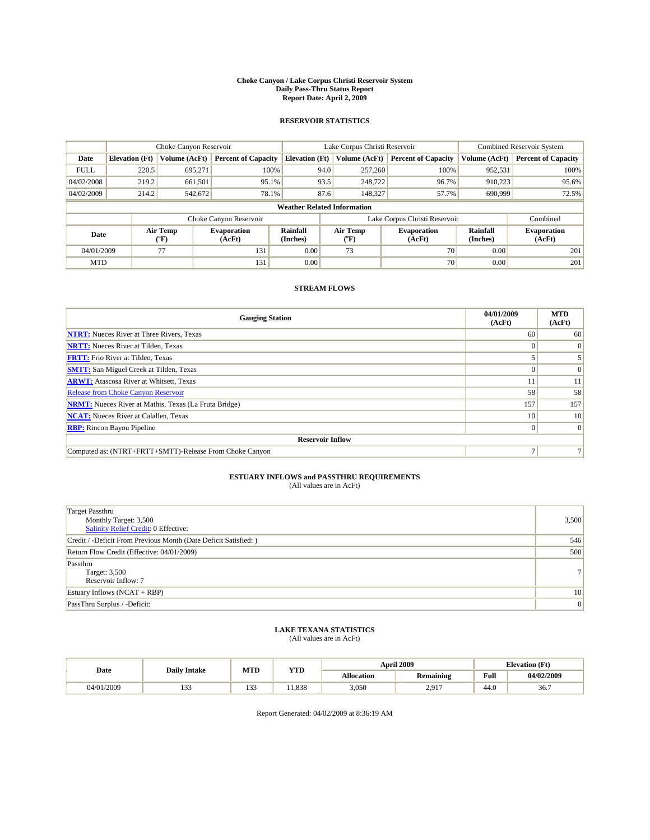#### **Choke Canyon / Lake Corpus Christi Reservoir System Daily Pass-Thru Status Report Report Date: April 2, 2009**

#### **RESERVOIR STATISTICS**

|             | Choke Canyon Reservoir             |                  |                              |                       | Lake Corpus Christi Reservoir | <b>Combined Reservoir System</b> |                      |                              |  |
|-------------|------------------------------------|------------------|------------------------------|-----------------------|-------------------------------|----------------------------------|----------------------|------------------------------|--|
| Date        | <b>Elevation</b> (Ft)              | Volume (AcFt)    | <b>Percent of Capacity</b>   | <b>Elevation</b> (Ft) | Volume (AcFt)                 | <b>Percent of Capacity</b>       | Volume (AcFt)        | <b>Percent of Capacity</b>   |  |
| <b>FULL</b> | 220.5                              | 695.271          | 100%                         | 94.0                  | 257,260                       | 100%                             | 952,531              | 100%                         |  |
| 04/02/2008  | 219.2                              | 661,501          | 95.1%                        | 93.5                  | 248,722                       | 96.7%                            | 910,223              | 95.6%                        |  |
| 04/02/2009  | 214.2                              | 542,672          | 78.1%                        | 87.6                  | 148,327                       | 57.7%                            | 690,999              | 72.5%                        |  |
|             | <b>Weather Related Information</b> |                  |                              |                       |                               |                                  |                      |                              |  |
|             |                                    |                  | Choke Canyon Reservoir       |                       |                               | Lake Corpus Christi Reservoir    |                      | Combined                     |  |
| Date        |                                    | Air Temp<br>(°F) | <b>Evaporation</b><br>(AcFt) | Rainfall<br>(Inches)  | Air Temp<br>("F)              | <b>Evaporation</b><br>(AcFt)     | Rainfall<br>(Inches) | <b>Evaporation</b><br>(AcFt) |  |
| 04/01/2009  |                                    | 77               | 131                          | 0.00                  | 73                            | 70                               | 0.00                 | 201                          |  |
| <b>MTD</b>  |                                    |                  | 131                          | 0.00                  |                               | 70                               | 0.00                 | 201                          |  |

### **STREAM FLOWS**

| <b>Gauging Station</b>                                       | 04/01/2009<br>(AcFt) | <b>MTD</b><br>(AcFt) |  |  |  |  |
|--------------------------------------------------------------|----------------------|----------------------|--|--|--|--|
| <b>NTRT:</b> Nueces River at Three Rivers, Texas             | 60                   | 60                   |  |  |  |  |
| <b>NRTT:</b> Nueces River at Tilden, Texas                   |                      | $\Omega$             |  |  |  |  |
| <b>FRTT:</b> Frio River at Tilden, Texas                     |                      |                      |  |  |  |  |
| <b>SMTT:</b> San Miguel Creek at Tilden, Texas               |                      | $\Omega$             |  |  |  |  |
| <b>ARWT:</b> Atascosa River at Whitsett, Texas               |                      | 11                   |  |  |  |  |
| Release from Choke Canyon Reservoir                          | 58                   | 58                   |  |  |  |  |
| <b>NRMT:</b> Nueces River at Mathis, Texas (La Fruta Bridge) | 157                  | 157                  |  |  |  |  |
| <b>NCAT:</b> Nueces River at Calallen, Texas                 | 10 <sup>1</sup>      | 10                   |  |  |  |  |
| <b>RBP:</b> Rincon Bayou Pipeline                            | $\Omega$             | $\Omega$             |  |  |  |  |
| <b>Reservoir Inflow</b>                                      |                      |                      |  |  |  |  |
| Computed as: (NTRT+FRTT+SMTT)-Release From Choke Canyon      |                      |                      |  |  |  |  |

# **ESTUARY INFLOWS and PASSTHRU REQUIREMENTS**<br>(All values are in AcFt)

| <b>Target Passthru</b><br>Monthly Target: 3,500<br>Salinity Relief Credit: 0 Effective: | 3,500           |
|-----------------------------------------------------------------------------------------|-----------------|
| Credit / -Deficit From Previous Month (Date Deficit Satisfied: )                        | 546             |
| Return Flow Credit (Effective: 04/01/2009)                                              | 500             |
| Passthru<br>Target: 3,500<br>Reservoir Inflow: 7                                        | 7 <sup>1</sup>  |
| Estuary Inflows (NCAT + RBP)                                                            | 10 <sup>1</sup> |
| PassThru Surplus / -Deficit:                                                            | 0               |

# **LAKE TEXANA STATISTICS** (All values are in AcFt)

|            | <b>Daily Intake</b> | MTD        | YTD   |                   | <b>April 2009</b>     | <b>Elevation</b> (Ft)                       |            |
|------------|---------------------|------------|-------|-------------------|-----------------------|---------------------------------------------|------------|
| Date       |                     |            |       | <b>Allocation</b> | <b>Remaining</b>      | Full<br>the contract of the contract of the | 04/02/2009 |
| 04/01/2009 | $\sim$<br>.         | 122<br>133 | 1.838 | 3,050             | 2.017<br>$\sim \cdot$ | 44.0                                        | 36.7       |

Report Generated: 04/02/2009 at 8:36:19 AM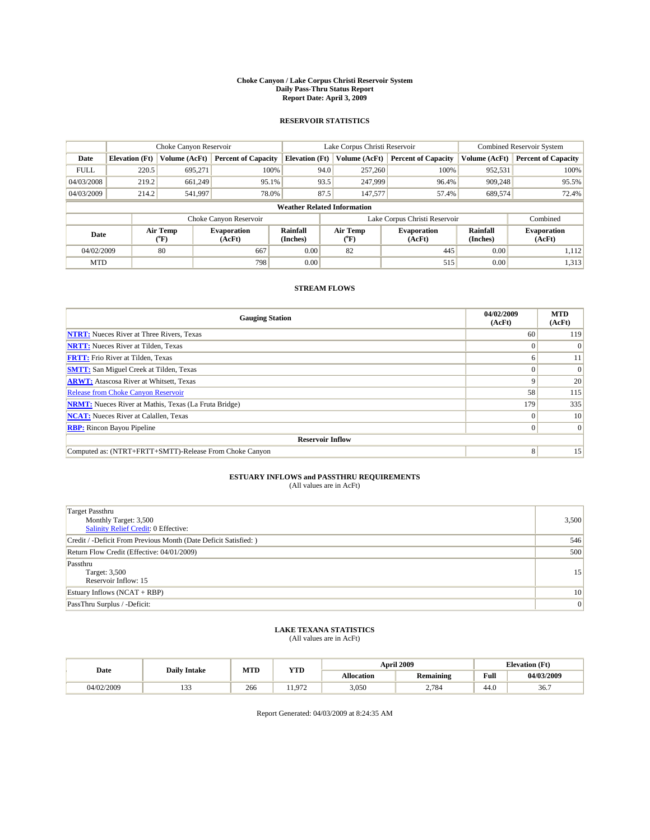#### **Choke Canyon / Lake Corpus Christi Reservoir System Daily Pass-Thru Status Report Report Date: April 3, 2009**

#### **RESERVOIR STATISTICS**

|                                    | Choke Canyon Reservoir |                                           |                              |                       | Lake Corpus Christi Reservoir |                                   |                               |                      | Combined Reservoir System    |  |
|------------------------------------|------------------------|-------------------------------------------|------------------------------|-----------------------|-------------------------------|-----------------------------------|-------------------------------|----------------------|------------------------------|--|
| Date                               | <b>Elevation</b> (Ft)  | Volume (AcFt)                             | <b>Percent of Capacity</b>   | <b>Elevation</b> (Ft) |                               | Volume (AcFt)                     | <b>Percent of Capacity</b>    | Volume (AcFt)        | <b>Percent of Capacity</b>   |  |
| <b>FULL</b>                        | 220.5                  | 695.271                                   | 100%                         |                       | 94.0                          | 257,260                           | 100%                          | 952,531              | 100%                         |  |
| 04/03/2008                         | 219.2                  | 661,249                                   | 95.1%                        |                       | 93.5                          | 247,999                           | 96.4%                         | 909,248              | 95.5%                        |  |
| 04/03/2009                         | 214.2                  | 541,997                                   | 78.0%                        |                       | 87.5                          | 147,577                           | 57.4%                         | 689,574              | 72.4%                        |  |
| <b>Weather Related Information</b> |                        |                                           |                              |                       |                               |                                   |                               |                      |                              |  |
|                                    |                        |                                           | Choke Canyon Reservoir       |                       |                               |                                   | Lake Corpus Christi Reservoir |                      | Combined                     |  |
| Date                               |                        | Air Temp<br>$({}^{\mathrm{o}}\mathrm{F})$ | <b>Evaporation</b><br>(AcFt) | Rainfall<br>(Inches)  |                               | Air Temp<br>$({}^{\circ}{\rm F})$ | <b>Evaporation</b><br>(AcFt)  | Rainfall<br>(Inches) | <b>Evaporation</b><br>(AcFt) |  |
| 04/02/2009                         |                        | 80                                        | 667                          | 0.00                  |                               | 82                                | 445                           | 0.00                 | 1,112                        |  |
| <b>MTD</b>                         |                        |                                           | 798                          | 0.00                  |                               |                                   | 515                           | 0.00                 | 1,313                        |  |

### **STREAM FLOWS**

| <b>Gauging Station</b>                                       | 04/02/2009<br>(AcFt) | <b>MTD</b><br>(AcFt) |
|--------------------------------------------------------------|----------------------|----------------------|
| <b>NTRT:</b> Nueces River at Three Rivers, Texas             | 60                   | 119                  |
| <b>NRTT:</b> Nueces River at Tilden, Texas                   | $\Omega$             |                      |
| <b>FRTT:</b> Frio River at Tilden, Texas                     | h                    | 11                   |
| <b>SMTT:</b> San Miguel Creek at Tilden, Texas               |                      | $\Omega$             |
| <b>ARWT:</b> Atascosa River at Whitsett, Texas               | 9                    | 20                   |
| <b>Release from Choke Canyon Reservoir</b>                   | 58                   | 115                  |
| <b>NRMT:</b> Nueces River at Mathis, Texas (La Fruta Bridge) | 179                  | 335                  |
| <b>NCAT:</b> Nueces River at Calallen, Texas                 | $\Omega$             | 10                   |
| <b>RBP:</b> Rincon Bayou Pipeline                            | $\Omega$             | $\Omega$             |
| <b>Reservoir Inflow</b>                                      |                      |                      |
| Computed as: (NTRT+FRTT+SMTT)-Release From Choke Canyon      | 8 <sup>1</sup>       | 15                   |

# **ESTUARY INFLOWS and PASSTHRU REQUIREMENTS**<br>(All values are in AcFt)

| <b>Target Passthru</b><br>Monthly Target: 3,500<br><b>Salinity Relief Credit: 0 Effective:</b> | 3,500           |
|------------------------------------------------------------------------------------------------|-----------------|
| Credit / -Deficit From Previous Month (Date Deficit Satisfied: )                               | 546             |
| Return Flow Credit (Effective: 04/01/2009)                                                     | 500             |
| Passthru<br>Target: 3,500<br>Reservoir Inflow: 15                                              | 15              |
| Estuary Inflows $(NCAT + RBP)$                                                                 | 10 <sup>1</sup> |
| PassThru Surplus / -Deficit:                                                                   | 0               |

## **LAKE TEXANA STATISTICS** (All values are in AcFt)

|            | <b>Daily Intake</b> | MTD | YTD |                   | <b>April 2009</b> | <b>Elevation</b> (Ft)                       |            |
|------------|---------------------|-----|-----|-------------------|-------------------|---------------------------------------------|------------|
| Date       |                     |     |     | <b>Allocation</b> | <b>Remaining</b>  | Full<br>the contract of the contract of the | 04/03/2009 |
| 04/02/2009 | $\sim$<br>.         | 266 | 072 | 3,050             | 2.784             | 44.0                                        | 36.7       |

Report Generated: 04/03/2009 at 8:24:35 AM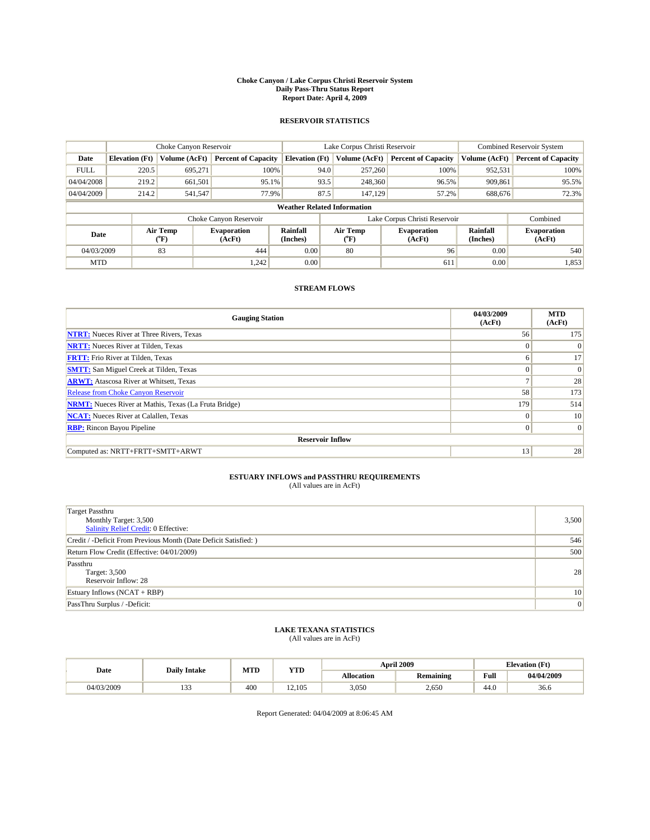#### **Choke Canyon / Lake Corpus Christi Reservoir System Daily Pass-Thru Status Report Report Date: April 4, 2009**

#### **RESERVOIR STATISTICS**

|             | Choke Canyon Reservoir             |                  |                              |                       | Lake Corpus Christi Reservoir | <b>Combined Reservoir System</b> |                      |                              |  |
|-------------|------------------------------------|------------------|------------------------------|-----------------------|-------------------------------|----------------------------------|----------------------|------------------------------|--|
| Date        | <b>Elevation</b> (Ft)              | Volume (AcFt)    | <b>Percent of Capacity</b>   | <b>Elevation</b> (Ft) | Volume (AcFt)                 | <b>Percent of Capacity</b>       | Volume (AcFt)        | <b>Percent of Capacity</b>   |  |
| <b>FULL</b> | 220.5                              | 695,271          | 100%                         | 94.0                  | 257,260                       | 100%                             | 952,531              | 100%                         |  |
| 04/04/2008  | 219.2                              | 661,501          | 95.1%                        | 93.5                  | 248,360                       | 96.5%                            | 909,861              | 95.5%                        |  |
| 04/04/2009  | 214.2                              | 541,547          | 77.9%                        | 87.5                  | 147,129                       | 57.2%                            | 688,676              | 72.3%                        |  |
|             | <b>Weather Related Information</b> |                  |                              |                       |                               |                                  |                      |                              |  |
|             |                                    |                  | Choke Canyon Reservoir       |                       |                               | Lake Corpus Christi Reservoir    |                      | Combined                     |  |
| Date        |                                    | Air Temp<br>(°F) | <b>Evaporation</b><br>(AcFt) | Rainfall<br>(Inches)  | Air Temp<br>("F)              | <b>Evaporation</b><br>(AcFt)     | Rainfall<br>(Inches) | <b>Evaporation</b><br>(AcFt) |  |
| 04/03/2009  |                                    | 83               | 444                          | 0.00                  | 80                            | 96                               | 0.00                 | 540                          |  |
| <b>MTD</b>  |                                    |                  | 1,242                        | 0.00                  |                               | 611                              | 0.00                 | 1,853                        |  |

### **STREAM FLOWS**

| <b>Gauging Station</b>                                       | 04/03/2009<br>(AcFt) | <b>MTD</b><br>(AcFt) |  |  |  |  |
|--------------------------------------------------------------|----------------------|----------------------|--|--|--|--|
| <b>NTRT:</b> Nueces River at Three Rivers, Texas             | 56                   | 175                  |  |  |  |  |
| <b>NRTT:</b> Nueces River at Tilden, Texas                   | $\Omega$             | $\Omega$             |  |  |  |  |
| <b>FRTT:</b> Frio River at Tilden, Texas                     | 6                    | 17                   |  |  |  |  |
| <b>SMTT:</b> San Miguel Creek at Tilden, Texas               | $\Omega$             | $\Omega$             |  |  |  |  |
| <b>ARWT:</b> Atascosa River at Whitsett, Texas               | $\overline{ }$       | 28                   |  |  |  |  |
| Release from Choke Canyon Reservoir                          | 58                   | 173                  |  |  |  |  |
| <b>NRMT:</b> Nueces River at Mathis, Texas (La Fruta Bridge) | 179                  | 514                  |  |  |  |  |
| <b>NCAT:</b> Nueces River at Calallen, Texas                 | $\Omega$             | 10                   |  |  |  |  |
| <b>RBP:</b> Rincon Bayou Pipeline                            | $\overline{0}$       | $\Omega$             |  |  |  |  |
| <b>Reservoir Inflow</b>                                      |                      |                      |  |  |  |  |
| Computed as: NRTT+FRTT+SMTT+ARWT                             | 13                   | 28                   |  |  |  |  |

# **ESTUARY INFLOWS and PASSTHRU REQUIREMENTS**<br>(All values are in AcFt)

| <b>Target Passthru</b><br>Monthly Target: 3,500<br>Salinity Relief Credit: 0 Effective: | 3,500           |
|-----------------------------------------------------------------------------------------|-----------------|
| Credit / -Deficit From Previous Month (Date Deficit Satisfied: )                        | 546             |
| Return Flow Credit (Effective: 04/01/2009)                                              | 500             |
| Passthru<br>Target: 3,500<br>Reservoir Inflow: 28                                       | 28              |
| Estuary Inflows $(NCAT + RBP)$                                                          | 10 <sup>1</sup> |
| PassThru Surplus / -Deficit:                                                            | 0               |

## **LAKE TEXANA STATISTICS** (All values are in AcFt)

|            | <b>Daily Intake</b> | MTD | <b>YTD</b> |                   | <b>April 2009</b> | <b>Elevation</b> (Ft)                       |            |
|------------|---------------------|-----|------------|-------------------|-------------------|---------------------------------------------|------------|
| Date       |                     |     |            | <b>Allocation</b> | Remaining         | Full<br>the contract of the contract of the | 04/04/2009 |
| 04/03/2009 | $\sim$<br>ن ب       | 400 | 12.105     | 3.050             | 2.650             | 44.0                                        | 36.6       |

Report Generated: 04/04/2009 at 8:06:45 AM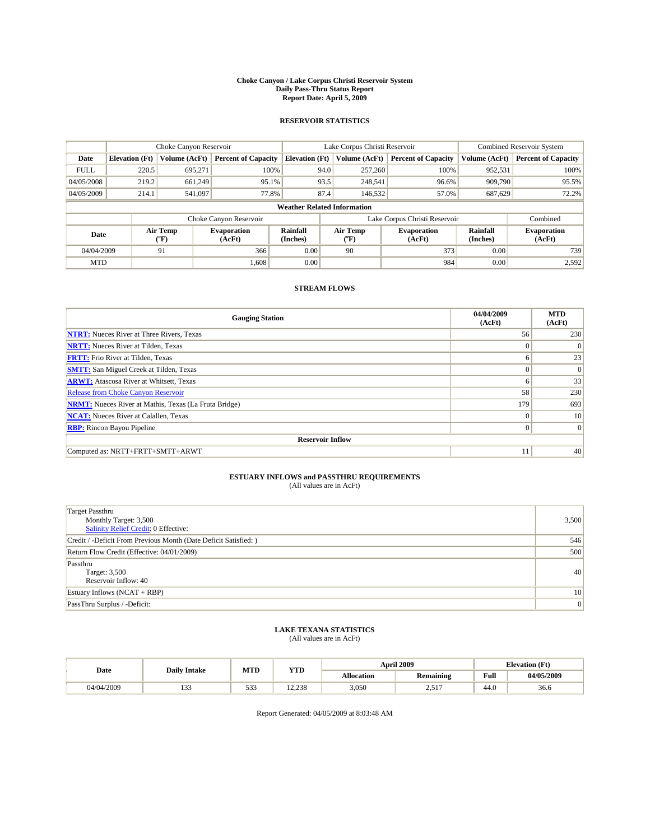#### **Choke Canyon / Lake Corpus Christi Reservoir System Daily Pass-Thru Status Report Report Date: April 5, 2009**

#### **RESERVOIR STATISTICS**

|             | Choke Canyon Reservoir             |                  |                              |                       | Lake Corpus Christi Reservoir |               |                               |                      | <b>Combined Reservoir System</b> |  |
|-------------|------------------------------------|------------------|------------------------------|-----------------------|-------------------------------|---------------|-------------------------------|----------------------|----------------------------------|--|
| Date        | <b>Elevation</b> (Ft)              | Volume (AcFt)    | <b>Percent of Capacity</b>   | <b>Elevation</b> (Ft) |                               | Volume (AcFt) | <b>Percent of Capacity</b>    | Volume (AcFt)        | <b>Percent of Capacity</b>       |  |
| <b>FULL</b> | 220.5                              | 695,271          | 100%                         |                       | 94.0                          | 257,260       | 100%                          | 952,531              | 100%                             |  |
| 04/05/2008  | 219.2                              | 661,249          | 95.1%                        |                       | 93.5                          | 248,541       | 96.6%                         | 909,790              | 95.5%                            |  |
| 04/05/2009  | 214.1                              | 541,097          | 77.8%                        |                       | 87.4                          | 146,532       | 57.0%                         | 687,629              | 72.2%                            |  |
|             | <b>Weather Related Information</b> |                  |                              |                       |                               |               |                               |                      |                                  |  |
|             |                                    |                  | Choke Canyon Reservoir       |                       |                               |               | Lake Corpus Christi Reservoir |                      | Combined                         |  |
| Date        |                                    | Air Temp<br>(°F) | <b>Evaporation</b><br>(AcFt) | Rainfall<br>(Inches)  | Air Temp<br>("F)              |               | <b>Evaporation</b><br>(AcFt)  | Rainfall<br>(Inches) | <b>Evaporation</b><br>(AcFt)     |  |
| 04/04/2009  |                                    | 91               | 366                          | 0.00                  | 90                            |               | 373                           | 0.00                 | 739                              |  |
| <b>MTD</b>  |                                    |                  | 1,608                        | 0.00                  |                               |               | 984                           | 0.00                 | 2,592                            |  |

### **STREAM FLOWS**

| <b>Gauging Station</b>                                       | 04/04/2009<br>(AcFt) | <b>MTD</b><br>(AcFt) |  |  |  |  |
|--------------------------------------------------------------|----------------------|----------------------|--|--|--|--|
| <b>NTRT:</b> Nueces River at Three Rivers, Texas             | 56                   | 230                  |  |  |  |  |
| <b>NRTT:</b> Nueces River at Tilden, Texas                   | $\theta$             | $\Omega$             |  |  |  |  |
| <b>FRTT:</b> Frio River at Tilden, Texas                     | 6                    | 23                   |  |  |  |  |
| <b>SMTT:</b> San Miguel Creek at Tilden, Texas               | $\theta$             | $\vert 0 \vert$      |  |  |  |  |
| <b>ARWT:</b> Atascosa River at Whitsett, Texas               | 6                    | 33                   |  |  |  |  |
| <b>Release from Choke Canyon Reservoir</b>                   | 58                   | 230                  |  |  |  |  |
| <b>NRMT:</b> Nueces River at Mathis, Texas (La Fruta Bridge) | 179                  | 693                  |  |  |  |  |
| <b>NCAT:</b> Nueces River at Calallen, Texas                 | $\Omega$             | 10                   |  |  |  |  |
| <b>RBP:</b> Rincon Bayou Pipeline                            | $\mathbf{0}$         | $\vert 0 \vert$      |  |  |  |  |
| <b>Reservoir Inflow</b>                                      |                      |                      |  |  |  |  |
| Computed as: NRTT+FRTT+SMTT+ARWT                             | 11                   | 40                   |  |  |  |  |

# **ESTUARY INFLOWS and PASSTHRU REQUIREMENTS**<br>(All values are in AcFt)

| <b>Target Passthru</b><br>Monthly Target: 3,500<br>Salinity Relief Credit: 0 Effective: | 3,500         |
|-----------------------------------------------------------------------------------------|---------------|
| Credit / -Deficit From Previous Month (Date Deficit Satisfied: )                        | 546           |
| Return Flow Credit (Effective: 04/01/2009)                                              | 500           |
| Passthru<br>Target: 3,500<br>Reservoir Inflow: 40                                       | 40            |
| Estuary Inflows $(NCAT + RBP)$                                                          | <sup>10</sup> |
| PassThru Surplus / -Deficit:                                                            | 0             |

## **LAKE TEXANA STATISTICS** (All values are in AcFt)

| Date       | <b>Daily Intake</b> | MTD                          | <b>YTD</b> |                   | <b>April 2009</b> | <b>Elevation</b> (Ft) |            |
|------------|---------------------|------------------------------|------------|-------------------|-------------------|-----------------------|------------|
|            |                     |                              |            | <b>Allocation</b> | <b>Remaining</b>  | Full                  | 04/05/2009 |
| 04/04/2009 | $\sim$<br>.         | $\sim$ $\sim$<br><u> 233</u> | 12.238     | 3,050             | 517<br>المن وسك   | 44.0                  | 36.6       |

Report Generated: 04/05/2009 at 8:03:48 AM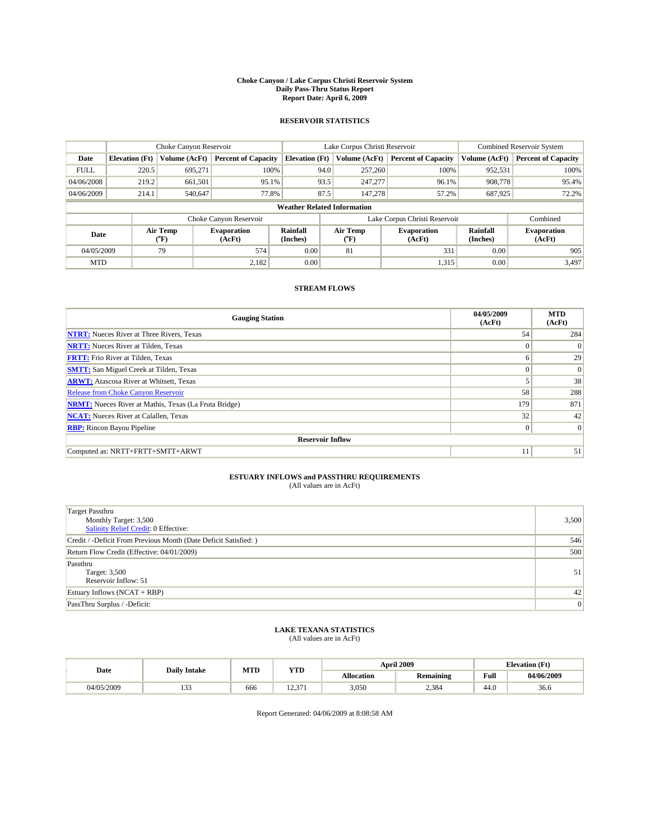#### **Choke Canyon / Lake Corpus Christi Reservoir System Daily Pass-Thru Status Report Report Date: April 6, 2009**

#### **RESERVOIR STATISTICS**

|             | Choke Canyon Reservoir             |                  |                              |                       | Lake Corpus Christi Reservoir | <b>Combined Reservoir System</b> |                      |                              |  |  |
|-------------|------------------------------------|------------------|------------------------------|-----------------------|-------------------------------|----------------------------------|----------------------|------------------------------|--|--|
| Date        | <b>Elevation</b> (Ft)              | Volume (AcFt)    | <b>Percent of Capacity</b>   | <b>Elevation</b> (Ft) | Volume (AcFt)                 | <b>Percent of Capacity</b>       | Volume (AcFt)        | <b>Percent of Capacity</b>   |  |  |
| <b>FULL</b> | 220.5                              | 695,271          | 100%                         |                       | 94.0<br>257,260               | 100%                             | 952,531              | 100%                         |  |  |
| 04/06/2008  | 219.2                              | 661,501          | 95.1%                        |                       | 93.5<br>247,277               | 96.1%                            | 908,778              | 95.4%                        |  |  |
| 04/06/2009  | 214.1                              | 540,647          | 77.8%                        | 87.5                  | 147.278                       | 57.2%                            | 687,925              | 72.2%                        |  |  |
|             | <b>Weather Related Information</b> |                  |                              |                       |                               |                                  |                      |                              |  |  |
|             |                                    |                  | Choke Canyon Reservoir       |                       |                               | Lake Corpus Christi Reservoir    |                      | Combined                     |  |  |
| Date        |                                    | Air Temp<br>(°F) | <b>Evaporation</b><br>(AcFt) | Rainfall<br>(Inches)  | Air Temp<br>("F)              | <b>Evaporation</b><br>(AcFt)     | Rainfall<br>(Inches) | <b>Evaporation</b><br>(AcFt) |  |  |
| 04/05/2009  |                                    | 79               | 574                          | 0.00                  | 81                            | 331                              | 0.00                 | 905                          |  |  |
| <b>MTD</b>  |                                    |                  | 2.182                        | 0.00                  |                               | 1,315                            | 0.00                 | 3,497                        |  |  |

### **STREAM FLOWS**

| <b>Gauging Station</b>                                       | 04/05/2009<br>(AcFt) | <b>MTD</b><br>(AcFt) |  |  |  |  |
|--------------------------------------------------------------|----------------------|----------------------|--|--|--|--|
| <b>NTRT:</b> Nueces River at Three Rivers, Texas             | 54                   | 284                  |  |  |  |  |
| <b>NRTT:</b> Nueces River at Tilden, Texas                   | $\Omega$             | $\Omega$             |  |  |  |  |
| <b>FRTT:</b> Frio River at Tilden, Texas                     | 6                    | 29                   |  |  |  |  |
| <b>SMTT:</b> San Miguel Creek at Tilden, Texas               | $\Omega$             | $\Omega$             |  |  |  |  |
| <b>ARWT:</b> Atascosa River at Whitsett, Texas               |                      | 38                   |  |  |  |  |
| Release from Choke Canyon Reservoir                          | 58                   | 288                  |  |  |  |  |
| <b>NRMT:</b> Nueces River at Mathis, Texas (La Fruta Bridge) | 179                  | 871                  |  |  |  |  |
| <b>NCAT:</b> Nueces River at Calallen, Texas                 | 32                   | 42                   |  |  |  |  |
| <b>RBP:</b> Rincon Bayou Pipeline                            | $\overline{0}$       | $\Omega$             |  |  |  |  |
| <b>Reservoir Inflow</b>                                      |                      |                      |  |  |  |  |
| Computed as: NRTT+FRTT+SMTT+ARWT                             | 11                   | 51                   |  |  |  |  |

# **ESTUARY INFLOWS and PASSTHRU REQUIREMENTS**<br>(All values are in AcFt)

| <b>Target Passthru</b><br>Monthly Target: 3,500<br>Salinity Relief Credit: 0 Effective: | 3,500           |
|-----------------------------------------------------------------------------------------|-----------------|
| Credit / -Deficit From Previous Month (Date Deficit Satisfied: )                        | 546             |
| Return Flow Credit (Effective: 04/01/2009)                                              | 500             |
| Passthru<br>Target: 3,500<br>Reservoir Inflow: 51                                       | 51              |
| Estuary Inflows $(NCAT + RBP)$                                                          | 42 <sup>1</sup> |
| PassThru Surplus / -Deficit:                                                            | 0               |

## **LAKE TEXANA STATISTICS** (All values are in AcFt)

|            | <b>Daily Intake</b> | MTD | <b>YTD</b>    |                   | <b>April 2009</b> | <b>Elevation</b> (Ft)                       |            |
|------------|---------------------|-----|---------------|-------------------|-------------------|---------------------------------------------|------------|
| Date       |                     |     |               | <b>Allocation</b> | <b>Remaining</b>  | Full<br>the contract of the contract of the | 04/06/2009 |
| 04/05/2009 | $\sim$<br>.         | 666 | 271<br>12.711 | 3,050             | 2,384             | 44.0                                        | 36.6       |

Report Generated: 04/06/2009 at 8:08:58 AM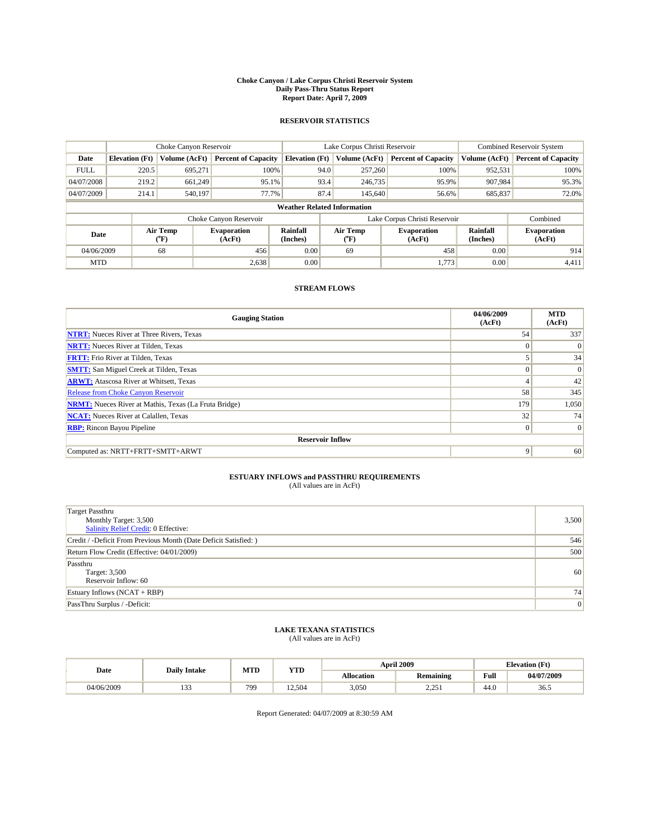#### **Choke Canyon / Lake Corpus Christi Reservoir System Daily Pass-Thru Status Report Report Date: April 7, 2009**

#### **RESERVOIR STATISTICS**

|             | Choke Canyon Reservoir             |                      | Lake Corpus Christi Reservoir |                       |      |                  | <b>Combined Reservoir System</b> |                      |                              |  |
|-------------|------------------------------------|----------------------|-------------------------------|-----------------------|------|------------------|----------------------------------|----------------------|------------------------------|--|
| Date        | <b>Elevation</b> (Ft)              | <b>Volume (AcFt)</b> | <b>Percent of Capacity</b>    | <b>Elevation</b> (Ft) |      | Volume (AcFt)    | <b>Percent of Capacity</b>       | Volume (AcFt)        | <b>Percent of Capacity</b>   |  |
| <b>FULL</b> | 220.5                              | 695,271              | 100%                          |                       | 94.0 | 257,260          | 100%                             | 952,531              | 100%                         |  |
| 04/07/2008  | 219.2                              | 661,249              | 95.1%                         |                       | 93.4 | 246,735          | 95.9%                            | 907.984              | 95.3%                        |  |
| 04/07/2009  | 214.1                              | 540,197              | 77.7%                         |                       | 87.4 | 145,640          | 56.6%                            | 685,837              | 72.0%                        |  |
|             | <b>Weather Related Information</b> |                      |                               |                       |      |                  |                                  |                      |                              |  |
|             |                                    |                      | Choke Canyon Reservoir        |                       |      |                  | Lake Corpus Christi Reservoir    |                      | Combined                     |  |
| Date        |                                    | Air Temp<br>(°F)     | <b>Evaporation</b><br>(AcFt)  | Rainfall<br>(Inches)  |      | Air Temp<br>(°F) | <b>Evaporation</b><br>(AcFt)     | Rainfall<br>(Inches) | <b>Evaporation</b><br>(AcFt) |  |
| 04/06/2009  |                                    | 68                   | 456                           | 0.00                  |      | 69               | 458                              | 0.00                 | 914                          |  |
| <b>MTD</b>  |                                    |                      | 2,638                         | 0.00                  |      |                  | 1.773                            | 0.00                 | 4,411                        |  |

### **STREAM FLOWS**

| <b>Gauging Station</b>                                       | 04/06/2009<br>(AcFt) | <b>MTD</b><br>(AcFt) |  |  |  |  |  |
|--------------------------------------------------------------|----------------------|----------------------|--|--|--|--|--|
| <b>NTRT:</b> Nueces River at Three Rivers, Texas             | 54                   | 337                  |  |  |  |  |  |
| <b>NRTT:</b> Nueces River at Tilden, Texas                   | $\Omega$             | $\Omega$             |  |  |  |  |  |
| <b>FRTT:</b> Frio River at Tilden, Texas                     |                      | 34                   |  |  |  |  |  |
| <b>SMTT:</b> San Miguel Creek at Tilden, Texas               | $\theta$             | $\vert 0 \vert$      |  |  |  |  |  |
| <b>ARWT:</b> Atascosa River at Whitsett, Texas               | $\overline{4}$       | 42                   |  |  |  |  |  |
| <b>Release from Choke Canyon Reservoir</b>                   | 58                   | 345                  |  |  |  |  |  |
| <b>NRMT:</b> Nueces River at Mathis, Texas (La Fruta Bridge) | 179                  | 1,050                |  |  |  |  |  |
| <b>NCAT:</b> Nueces River at Calallen, Texas                 | 32                   | 74                   |  |  |  |  |  |
| <b>RBP:</b> Rincon Bayou Pipeline                            | $\mathbf{0}$         | $\Omega$             |  |  |  |  |  |
| <b>Reservoir Inflow</b>                                      |                      |                      |  |  |  |  |  |
| Computed as: NRTT+FRTT+SMTT+ARWT                             | 9                    | 60                   |  |  |  |  |  |

# **ESTUARY INFLOWS and PASSTHRU REQUIREMENTS**<br>(All values are in AcFt)

| <b>Target Passthru</b><br>Monthly Target: 3,500<br>Salinity Relief Credit: 0 Effective: | 3,500 |
|-----------------------------------------------------------------------------------------|-------|
| Credit / -Deficit From Previous Month (Date Deficit Satisfied: )                        | 546   |
| Return Flow Credit (Effective: 04/01/2009)                                              | 500   |
| Passthru<br>Target: 3,500<br>Reservoir Inflow: 60                                       | 60    |
| Estuary Inflows $(NCAT + RBP)$                                                          | 74    |
| PassThru Surplus / -Deficit:                                                            | 0     |

## **LAKE TEXANA STATISTICS** (All values are in AcFt)

| Date       | <b>Daily Intake</b> | MTD | <b>YTD</b> |                   | <b>April 2009</b> | <b>Elevation</b> (Ft) |            |
|------------|---------------------|-----|------------|-------------------|-------------------|-----------------------|------------|
|            |                     |     |            | <b>Allocation</b> | <b>Remaining</b>  | Full                  | 04/07/2009 |
| 04/06/2009 | .                   | 799 | 12.504     | 3,050             | .25<br>ہ رے ہے۔   | 44.0                  | 36.5       |

Report Generated: 04/07/2009 at 8:30:59 AM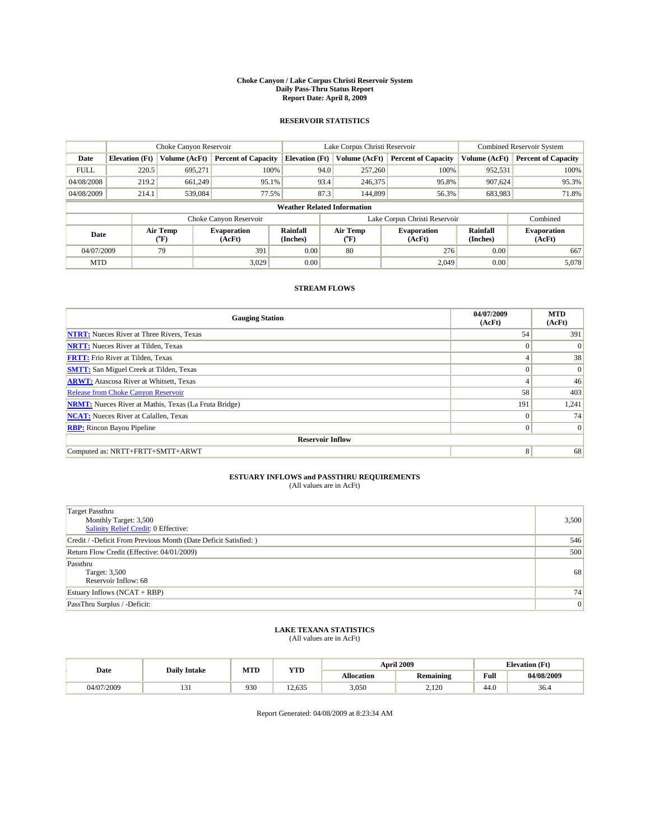#### **Choke Canyon / Lake Corpus Christi Reservoir System Daily Pass-Thru Status Report Report Date: April 8, 2009**

#### **RESERVOIR STATISTICS**

|             |                                    | Choke Canyon Reservoir |                              |                       | Lake Corpus Christi Reservoir | <b>Combined Reservoir System</b> |                             |                              |  |  |
|-------------|------------------------------------|------------------------|------------------------------|-----------------------|-------------------------------|----------------------------------|-----------------------------|------------------------------|--|--|
| Date        | <b>Elevation</b> (Ft)              | <b>Volume (AcFt)</b>   | <b>Percent of Capacity</b>   | <b>Elevation</b> (Ft) | Volume (AcFt)                 | <b>Percent of Capacity</b>       | Volume (AcFt)               | <b>Percent of Capacity</b>   |  |  |
| <b>FULL</b> | 220.5                              | 695,271                | 100%                         |                       | 94.0<br>257,260               | 100%                             | 952,531                     | 100%                         |  |  |
| 04/08/2008  | 219.2                              | 661,249                | 95.1%                        |                       | 93.4<br>246,375               | 95.8%                            | 907,624                     | 95.3%                        |  |  |
| 04/08/2009  | 214.1                              | 539,084                | 77.5%                        |                       | 87.3<br>144,899               | 56.3%                            | 683,983                     | 71.8%                        |  |  |
|             | <b>Weather Related Information</b> |                        |                              |                       |                               |                                  |                             |                              |  |  |
|             |                                    |                        | Choke Canyon Reservoir       |                       |                               | Lake Corpus Christi Reservoir    |                             | Combined                     |  |  |
| Date        |                                    | Air Temp<br>(°F)       | <b>Evaporation</b><br>(AcFt) | Rainfall<br>(Inches)  | Air Temp<br>(°F)              | <b>Evaporation</b><br>(AcFt)     | <b>Rainfall</b><br>(Inches) | <b>Evaporation</b><br>(AcFt) |  |  |
| 04/07/2009  |                                    | 79                     | 391                          | 0.00                  | 80                            | 276                              | 0.00                        | 667                          |  |  |
| <b>MTD</b>  |                                    |                        | 3.029                        | 0.00                  |                               | 2.049                            | 0.00                        | 5,078                        |  |  |

### **STREAM FLOWS**

| <b>Gauging Station</b>                                       | 04/07/2009<br>(AcFt) | <b>MTD</b><br>(AcFt) |  |  |  |  |
|--------------------------------------------------------------|----------------------|----------------------|--|--|--|--|
| <b>NTRT:</b> Nueces River at Three Rivers, Texas             | 54                   | 391                  |  |  |  |  |
| <b>NRTT:</b> Nueces River at Tilden, Texas                   | $\Omega$             | $\Omega$             |  |  |  |  |
| <b>FRTT:</b> Frio River at Tilden, Texas                     | 4                    | 38                   |  |  |  |  |
| <b>SMTT:</b> San Miguel Creek at Tilden, Texas               | $\Omega$             | $\Omega$             |  |  |  |  |
| <b>ARWT:</b> Atascosa River at Whitsett, Texas               | 4                    | 46                   |  |  |  |  |
| Release from Choke Canyon Reservoir                          | 58                   | 403                  |  |  |  |  |
| <b>NRMT:</b> Nueces River at Mathis, Texas (La Fruta Bridge) | 191                  | 1,241                |  |  |  |  |
| <b>NCAT:</b> Nueces River at Calallen, Texas                 | $\Omega$             | 74                   |  |  |  |  |
| <b>RBP:</b> Rincon Bayou Pipeline                            | $\overline{0}$       | $\Omega$             |  |  |  |  |
| <b>Reservoir Inflow</b>                                      |                      |                      |  |  |  |  |
| Computed as: NRTT+FRTT+SMTT+ARWT                             | 8                    | 68                   |  |  |  |  |

# **ESTUARY INFLOWS and PASSTHRU REQUIREMENTS**<br>(All values are in AcFt)

| <b>Target Passthru</b><br>Monthly Target: 3,500<br>Salinity Relief Credit: 0 Effective: | 3,500 |
|-----------------------------------------------------------------------------------------|-------|
| Credit / -Deficit From Previous Month (Date Deficit Satisfied: )                        | 546   |
| Return Flow Credit (Effective: 04/01/2009)                                              | 500   |
| Passthru<br>Target: 3,500<br>Reservoir Inflow: 68                                       | 68    |
| Estuary Inflows $(NCAT + RBP)$                                                          | 74    |
| PassThru Surplus / -Deficit:                                                            | 0     |

## **LAKE TEXANA STATISTICS** (All values are in AcFt)

| Date       | <b>Daily Intake</b> | MTD | <b>YTD</b> |                   | <b>April 2009</b> | <b>Elevation</b> (Ft) |            |
|------------|---------------------|-----|------------|-------------------|-------------------|-----------------------|------------|
|            |                     |     |            | <b>Allocation</b> | <b>Remaining</b>  | Full                  | 04/08/2009 |
| 04/07/2009 | 1 J 1               | 930 | 12.635     | 3,050             | 2.120             | 44.0                  | 36.4       |

Report Generated: 04/08/2009 at 8:23:34 AM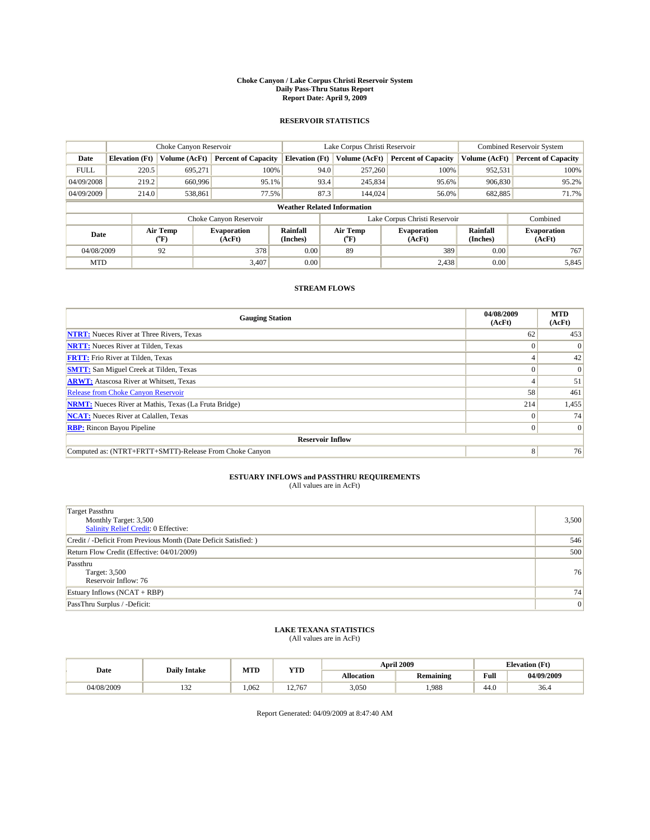#### **Choke Canyon / Lake Corpus Christi Reservoir System Daily Pass-Thru Status Report Report Date: April 9, 2009**

#### **RESERVOIR STATISTICS**

|             |                                    | Choke Canyon Reservoir                    |                              |                       | Lake Corpus Christi Reservoir | <b>Combined Reservoir System</b> |                             |                              |  |  |
|-------------|------------------------------------|-------------------------------------------|------------------------------|-----------------------|-------------------------------|----------------------------------|-----------------------------|------------------------------|--|--|
| Date        | <b>Elevation</b> (Ft)              | <b>Volume (AcFt)</b>                      | <b>Percent of Capacity</b>   | <b>Elevation</b> (Ft) | Volume (AcFt)                 | <b>Percent of Capacity</b>       | Volume (AcFt)               | <b>Percent of Capacity</b>   |  |  |
| <b>FULL</b> | 220.5                              | 695,271                                   | 100%                         |                       | 94.0<br>257,260               | 100%                             | 952,531                     | 100%                         |  |  |
| 04/09/2008  | 219.2                              | 660,996                                   | 95.1%                        |                       | 93.4<br>245,834               | 95.6%                            | 906,830                     | 95.2%                        |  |  |
| 04/09/2009  | 214.0                              | 538,861                                   | 77.5%                        |                       | 87.3<br>144,024               | 56.0%                            | 682,885                     | 71.7%                        |  |  |
|             | <b>Weather Related Information</b> |                                           |                              |                       |                               |                                  |                             |                              |  |  |
|             |                                    |                                           | Choke Canyon Reservoir       |                       |                               | Lake Corpus Christi Reservoir    |                             | Combined                     |  |  |
| Date        |                                    | Air Temp<br>$({}^{\mathrm{o}}\mathrm{F})$ | <b>Evaporation</b><br>(AcFt) | Rainfall<br>(Inches)  | Air Temp<br>(°F)              | <b>Evaporation</b><br>(AcFt)     | <b>Rainfall</b><br>(Inches) | <b>Evaporation</b><br>(AcFt) |  |  |
| 04/08/2009  |                                    | 92                                        | 378                          | 0.00                  | 89                            | 389                              | 0.00                        | 767                          |  |  |
| <b>MTD</b>  |                                    |                                           | 3.407                        | 0.00                  |                               | 2,438                            | 0.00                        | 5,845                        |  |  |

### **STREAM FLOWS**

| <b>Gauging Station</b>                                       | 04/08/2009<br>(AcFt) | <b>MTD</b><br>(AcFt) |  |  |  |  |
|--------------------------------------------------------------|----------------------|----------------------|--|--|--|--|
| <b>NTRT:</b> Nueces River at Three Rivers, Texas             | 62                   | 453                  |  |  |  |  |
| <b>NRTT:</b> Nueces River at Tilden, Texas                   |                      |                      |  |  |  |  |
| <b>FRTT:</b> Frio River at Tilden, Texas                     |                      | 42                   |  |  |  |  |
| <b>SMTT:</b> San Miguel Creek at Tilden, Texas               |                      | $\Omega$             |  |  |  |  |
| <b>ARWT:</b> Atascosa River at Whitsett, Texas               |                      | 51                   |  |  |  |  |
| Release from Choke Canyon Reservoir                          | 58                   | 461                  |  |  |  |  |
| <b>NRMT:</b> Nueces River at Mathis, Texas (La Fruta Bridge) | 214                  | 1,455                |  |  |  |  |
| <b>NCAT:</b> Nueces River at Calallen, Texas                 |                      | 74                   |  |  |  |  |
| <b>RBP:</b> Rincon Bayou Pipeline                            | $\Omega$             | $\Omega$             |  |  |  |  |
| <b>Reservoir Inflow</b>                                      |                      |                      |  |  |  |  |
| Computed as: (NTRT+FRTT+SMTT)-Release From Choke Canyon      | 8                    | 76                   |  |  |  |  |

# **ESTUARY INFLOWS and PASSTHRU REQUIREMENTS**<br>(All values are in AcFt)

| <b>Target Passthru</b><br>Monthly Target: 3,500<br><b>Salinity Relief Credit: 0 Effective:</b> | 3,500 |
|------------------------------------------------------------------------------------------------|-------|
| Credit / -Deficit From Previous Month (Date Deficit Satisfied: )                               | 546   |
| Return Flow Credit (Effective: 04/01/2009)                                                     | 500   |
| Passthru<br>Target: 3,500<br>Reservoir Inflow: 76                                              | 76    |
| Estuary Inflows $(NCAT + RBP)$                                                                 | 74    |
| PassThru Surplus / -Deficit:                                                                   | 0     |

## **LAKE TEXANA STATISTICS** (All values are in AcFt)

|            | <b>Daily Intake</b> | MTD   | YTD    |            | <b>April 2009</b> | <b>Elevation</b> (Ft)                       |            |
|------------|---------------------|-------|--------|------------|-------------------|---------------------------------------------|------------|
| Date       |                     |       |        | Allocation | <b>Remaining</b>  | Full<br>the contract of the contract of the | 04/09/2009 |
| 04/08/2009 | $\sim$<br>1 J 4     | 1.062 | 12.767 | 3,050      | .988              | 44.0                                        | 36.4       |

Report Generated: 04/09/2009 at 8:47:40 AM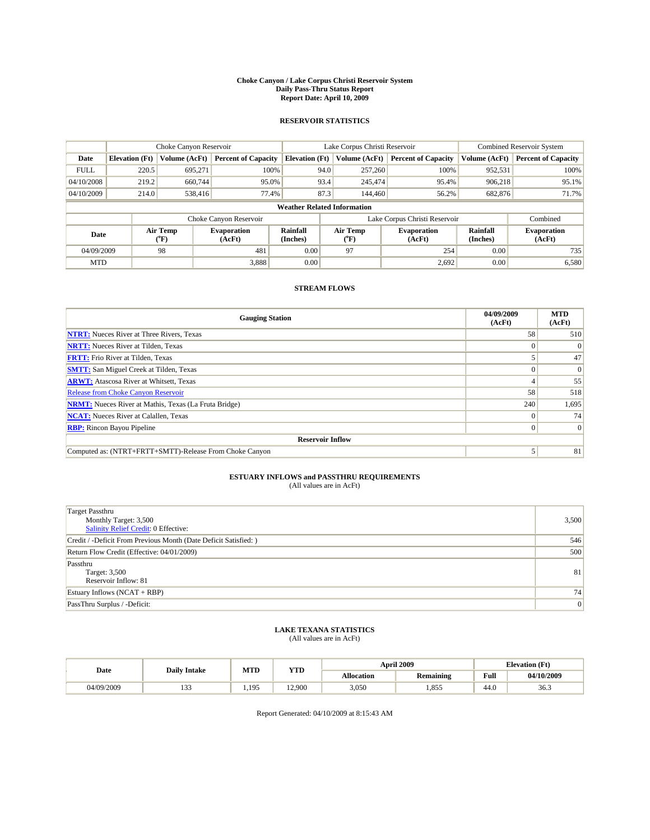#### **Choke Canyon / Lake Corpus Christi Reservoir System Daily Pass-Thru Status Report Report Date: April 10, 2009**

#### **RESERVOIR STATISTICS**

|             | Choke Canyon Reservoir             |                             |                              |                       | Lake Corpus Christi Reservoir |                     |                               |                      | <b>Combined Reservoir System</b> |  |
|-------------|------------------------------------|-----------------------------|------------------------------|-----------------------|-------------------------------|---------------------|-------------------------------|----------------------|----------------------------------|--|
| Date        | <b>Elevation</b> (Ft)              | Volume (AcFt)               | <b>Percent of Capacity</b>   | <b>Elevation</b> (Ft) |                               | Volume (AcFt)       | <b>Percent of Capacity</b>    | Volume (AcFt)        | <b>Percent of Capacity</b>       |  |
| <b>FULL</b> | 220.5                              | 695,271                     | 100%                         |                       | 94.0                          | 257,260             | 100%                          | 952,531              | 100%                             |  |
| 04/10/2008  | 219.2                              | 660,744                     | 95.0%                        |                       | 93.4                          | 245,474             | 95.4%                         | 906,218              | 95.1%                            |  |
| 04/10/2009  | 214.0                              | 538,416                     | 77.4%                        |                       | 87.3                          | 144,460             | 56.2%                         | 682,876              | 71.7%                            |  |
|             | <b>Weather Related Information</b> |                             |                              |                       |                               |                     |                               |                      |                                  |  |
|             |                                    |                             | Choke Canyon Reservoir       |                       |                               |                     | Lake Corpus Christi Reservoir |                      | Combined                         |  |
| Date        |                                    | Air Temp<br>${}^{\circ}$ F) | <b>Evaporation</b><br>(AcFt) | Rainfall<br>(Inches)  |                               | Air Temp<br>$(^oF)$ | <b>Evaporation</b><br>(AcFt)  | Rainfall<br>(Inches) | <b>Evaporation</b><br>(AcFt)     |  |
| 04/09/2009  |                                    | 98                          | 481                          | 0.00                  |                               | 97                  | 254                           | 0.00                 | 735                              |  |
| <b>MTD</b>  |                                    |                             | 3,888                        | 0.00                  |                               |                     | 2,692                         | 0.00                 | 6,580                            |  |

### **STREAM FLOWS**

| <b>Gauging Station</b>                                       | 04/09/2009<br>(AcFt) | <b>MTD</b><br>(AcFt) |
|--------------------------------------------------------------|----------------------|----------------------|
| <b>NTRT:</b> Nueces River at Three Rivers, Texas             | 58                   | 510                  |
| <b>NRTT:</b> Nueces River at Tilden, Texas                   |                      |                      |
| <b>FRTT:</b> Frio River at Tilden, Texas                     |                      | 47                   |
| <b>SMTT:</b> San Miguel Creek at Tilden, Texas               |                      | $\Omega$             |
| <b>ARWT:</b> Atascosa River at Whitsett, Texas               |                      | 55                   |
| <b>Release from Choke Canyon Reservoir</b>                   | 58                   | 518                  |
| <b>NRMT:</b> Nueces River at Mathis, Texas (La Fruta Bridge) | 240                  | 1,695                |
| <b>NCAT:</b> Nueces River at Calallen, Texas                 | $\Omega$             | 74 <sub>1</sub>      |
| <b>RBP:</b> Rincon Bayou Pipeline                            | $\overline{0}$       | $\Omega$             |
| <b>Reservoir Inflow</b>                                      |                      |                      |
| Computed as: (NTRT+FRTT+SMTT)-Release From Choke Canyon      |                      | 81                   |

# **ESTUARY INFLOWS and PASSTHRU REQUIREMENTS**<br>(All values are in AcFt)

| <b>Target Passthru</b><br>Monthly Target: 3,500<br><b>Salinity Relief Credit: 0 Effective:</b> | 3,500 |
|------------------------------------------------------------------------------------------------|-------|
| Credit / -Deficit From Previous Month (Date Deficit Satisfied: )                               | 546   |
| Return Flow Credit (Effective: 04/01/2009)                                                     | 500   |
| Passthru<br>Target: 3,500<br>Reservoir Inflow: 81                                              | 81    |
| Estuary Inflows $(NCAT + RBP)$                                                                 | 74    |
| PassThru Surplus / -Deficit:                                                                   | 0     |

## **LAKE TEXANA STATISTICS** (All values are in AcFt)

|            | <b>Daily Intake</b> | MTD  | <b>YTD</b> |                   | <b>April 2009</b> | <b>Elevation</b> (Ft)                       |            |
|------------|---------------------|------|------------|-------------------|-------------------|---------------------------------------------|------------|
| Date       |                     |      |            | <b>Allocation</b> | <b>Remaining</b>  | Full<br>the contract of the contract of the | 04/10/2009 |
| 04/09/2009 | $\sim$<br>.         | .195 | 12.900     | 3,050             | .855              | 44.0                                        | 36.3       |

Report Generated: 04/10/2009 at 8:15:43 AM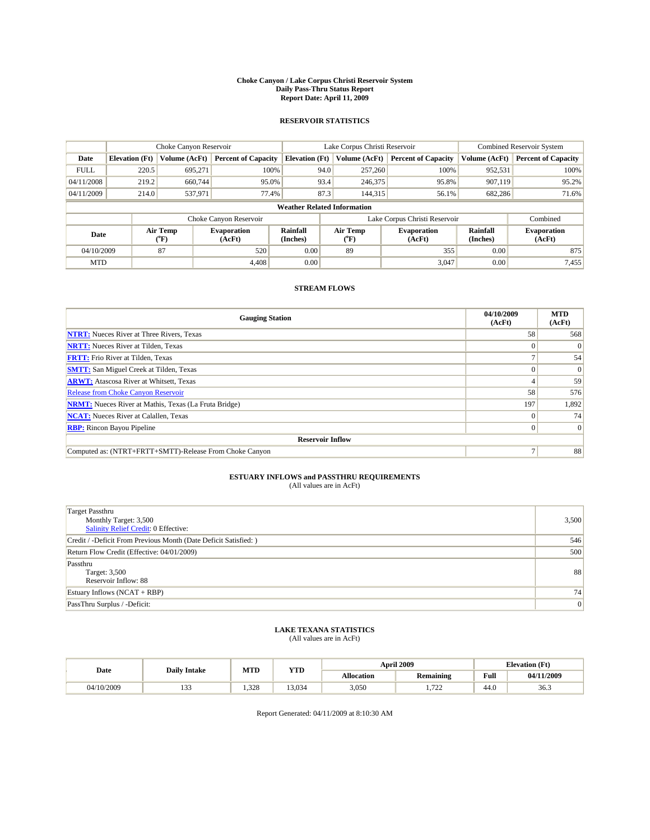#### **Choke Canyon / Lake Corpus Christi Reservoir System Daily Pass-Thru Status Report Report Date: April 11, 2009**

#### **RESERVOIR STATISTICS**

|             |                                    | Choke Canyon Reservoir |                              |                       | Lake Corpus Christi Reservoir | <b>Combined Reservoir System</b> |                      |                              |  |  |
|-------------|------------------------------------|------------------------|------------------------------|-----------------------|-------------------------------|----------------------------------|----------------------|------------------------------|--|--|
| Date        | <b>Elevation</b> (Ft)              | Volume (AcFt)          | <b>Percent of Capacity</b>   | <b>Elevation</b> (Ft) | Volume (AcFt)                 | <b>Percent of Capacity</b>       | Volume (AcFt)        | <b>Percent of Capacity</b>   |  |  |
| <b>FULL</b> | 220.5                              | 695,271                | 100%                         | 94.0                  | 257,260                       | 100%                             | 952,531              | 100%                         |  |  |
| 04/11/2008  | 219.2                              | 660.744                | 95.0%                        | 93.4                  | 246,375                       | 95.8%                            | 907,119              | 95.2%                        |  |  |
| 04/11/2009  | 214.0                              | 537,971                | 77.4%                        | 87.3                  | 144,315                       | 56.1%                            | 682,286              | 71.6%                        |  |  |
|             | <b>Weather Related Information</b> |                        |                              |                       |                               |                                  |                      |                              |  |  |
|             |                                    |                        | Choke Canyon Reservoir       |                       |                               | Lake Corpus Christi Reservoir    |                      | Combined                     |  |  |
| Date        |                                    | Air Temp<br>(°F)       | <b>Evaporation</b><br>(AcFt) | Rainfall<br>(Inches)  | Air Temp<br>("F)              | <b>Evaporation</b><br>(AcFt)     | Rainfall<br>(Inches) | <b>Evaporation</b><br>(AcFt) |  |  |
| 04/10/2009  |                                    | 87                     | 520                          | 0.00                  | 89                            | 355                              | 0.00                 | 875                          |  |  |
| <b>MTD</b>  |                                    |                        | 4.408                        | 0.00                  |                               | 3,047                            | 0.00                 | 7,455                        |  |  |

### **STREAM FLOWS**

| <b>Gauging Station</b>                                       | 04/10/2009<br>(AcFt) | <b>MTD</b><br>(AcFt) |  |  |  |  |
|--------------------------------------------------------------|----------------------|----------------------|--|--|--|--|
| <b>NTRT:</b> Nueces River at Three Rivers, Texas             | 58                   | 568                  |  |  |  |  |
| <b>NRTT:</b> Nueces River at Tilden, Texas                   |                      | $\theta$             |  |  |  |  |
| <b>FRTT:</b> Frio River at Tilden, Texas                     |                      | 54                   |  |  |  |  |
| <b>SMTT:</b> San Miguel Creek at Tilden, Texas               |                      | $\Omega$             |  |  |  |  |
| <b>ARWT:</b> Atascosa River at Whitsett, Texas               |                      | 59                   |  |  |  |  |
| Release from Choke Canyon Reservoir                          | 58                   | 576                  |  |  |  |  |
| <b>NRMT:</b> Nueces River at Mathis, Texas (La Fruta Bridge) | 197                  | 1,892                |  |  |  |  |
| <b>NCAT:</b> Nueces River at Calallen, Texas                 |                      | 74                   |  |  |  |  |
| <b>RBP:</b> Rincon Bayou Pipeline                            |                      |                      |  |  |  |  |
| <b>Reservoir Inflow</b>                                      |                      |                      |  |  |  |  |
| Computed as: (NTRT+FRTT+SMTT)-Release From Choke Canyon      |                      | 88                   |  |  |  |  |

# **ESTUARY INFLOWS and PASSTHRU REQUIREMENTS**<br>(All values are in AcFt)

| <b>Target Passthru</b><br>Monthly Target: 3,500<br><b>Salinity Relief Credit: 0 Effective:</b> | 3,500 |
|------------------------------------------------------------------------------------------------|-------|
| Credit / -Deficit From Previous Month (Date Deficit Satisfied: )                               | 546   |
| Return Flow Credit (Effective: 04/01/2009)                                                     | 500   |
| Passthru<br>Target: 3,500<br>Reservoir Inflow: 88                                              | 88    |
| Estuary Inflows $(NCAT + RBP)$                                                                 | 74    |
| PassThru Surplus / -Deficit:                                                                   | 0     |

## **LAKE TEXANA STATISTICS** (All values are in AcFt)

| Date       | <b>Daily Intake</b> | MTD  | <b>YTD</b> |                   | <b>April 2009</b>   | <b>Elevation</b> (Ft) |            |
|------------|---------------------|------|------------|-------------------|---------------------|-----------------------|------------|
|            |                     |      |            | <b>Allocation</b> | <b>Remaining</b>    | Full                  | 04/11/2009 |
| 04/10/2009 | $\sim$<br>.         | .328 | 3.034      | 3,050             | $\overline{a}$<br>. | 44.0                  | 36.3       |

Report Generated: 04/11/2009 at 8:10:30 AM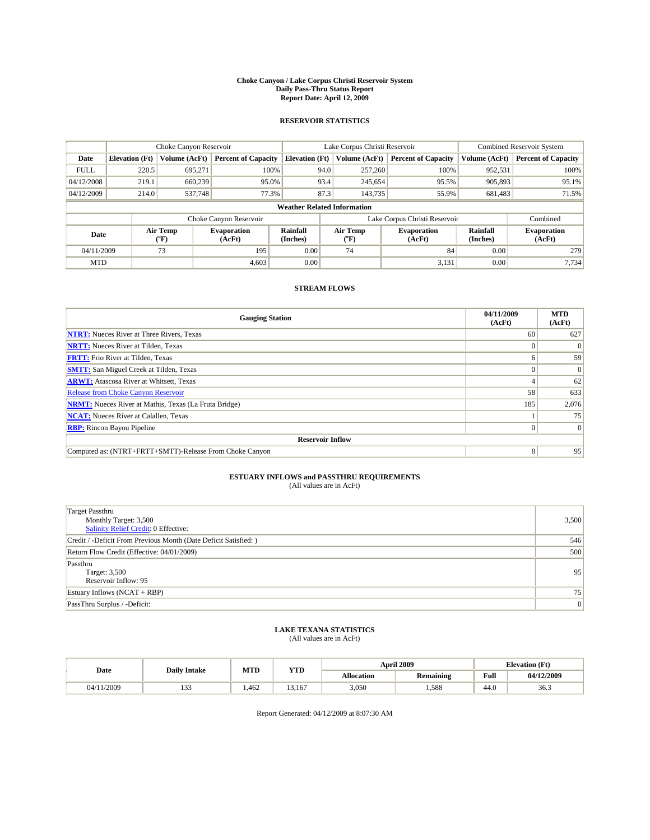#### **Choke Canyon / Lake Corpus Christi Reservoir System Daily Pass-Thru Status Report Report Date: April 12, 2009**

#### **RESERVOIR STATISTICS**

|             |                                    | Choke Canyon Reservoir |                              |                       | Lake Corpus Christi Reservoir | <b>Combined Reservoir System</b> |                             |                              |  |  |
|-------------|------------------------------------|------------------------|------------------------------|-----------------------|-------------------------------|----------------------------------|-----------------------------|------------------------------|--|--|
| Date        | <b>Elevation</b> (Ft)              | <b>Volume (AcFt)</b>   | <b>Percent of Capacity</b>   | <b>Elevation</b> (Ft) | Volume (AcFt)                 | <b>Percent of Capacity</b>       | Volume (AcFt)               | <b>Percent of Capacity</b>   |  |  |
| <b>FULL</b> | 220.5                              | 695,271                | 100%                         |                       | 94.0<br>257,260               | 100%                             | 952,531                     | 100%                         |  |  |
| 04/12/2008  | 219.1                              | 660,239                | 95.0%                        |                       | 93.4<br>245,654               | 95.5%                            | 905,893                     | 95.1%                        |  |  |
| 04/12/2009  | 214.0                              | 537,748                | 77.3%                        |                       | 87.3<br>143,735               | 55.9%                            | 681,483                     | 71.5%                        |  |  |
|             | <b>Weather Related Information</b> |                        |                              |                       |                               |                                  |                             |                              |  |  |
|             |                                    |                        | Choke Canyon Reservoir       |                       |                               | Lake Corpus Christi Reservoir    |                             | Combined                     |  |  |
| Date        |                                    | Air Temp<br>(°F)       | <b>Evaporation</b><br>(AcFt) | Rainfall<br>(Inches)  | Air Temp<br>(°F)              | <b>Evaporation</b><br>(AcFt)     | <b>Rainfall</b><br>(Inches) | <b>Evaporation</b><br>(AcFt) |  |  |
| 04/11/2009  |                                    | 73                     | 195                          | 0.00                  | 74                            | 84                               | 0.00                        | 279                          |  |  |
| <b>MTD</b>  |                                    |                        | 4.603                        | 0.00                  |                               | 3,131                            | 0.00                        | 7.734                        |  |  |

### **STREAM FLOWS**

| <b>Gauging Station</b>                                       | 04/11/2009<br>(AcFt) | <b>MTD</b><br>(AcFt) |  |  |  |  |  |
|--------------------------------------------------------------|----------------------|----------------------|--|--|--|--|--|
| <b>NTRT:</b> Nueces River at Three Rivers, Texas             | 60                   | 627                  |  |  |  |  |  |
| <b>NRTT:</b> Nueces River at Tilden, Texas                   |                      |                      |  |  |  |  |  |
| <b>FRTT:</b> Frio River at Tilden, Texas                     | 6                    | 59                   |  |  |  |  |  |
| <b>SMTT:</b> San Miguel Creek at Tilden, Texas               |                      | $\Omega$             |  |  |  |  |  |
| <b>ARWT:</b> Atascosa River at Whitsett, Texas               |                      | 62                   |  |  |  |  |  |
| <b>Release from Choke Canyon Reservoir</b>                   | 58                   | 633                  |  |  |  |  |  |
| <b>NRMT:</b> Nueces River at Mathis, Texas (La Fruta Bridge) | 185                  | 2,076                |  |  |  |  |  |
| <b>NCAT:</b> Nueces River at Calallen, Texas                 |                      | 75                   |  |  |  |  |  |
| <b>RBP:</b> Rincon Bayou Pipeline                            | $\overline{0}$       | $\Omega$             |  |  |  |  |  |
| <b>Reservoir Inflow</b>                                      |                      |                      |  |  |  |  |  |
| Computed as: (NTRT+FRTT+SMTT)-Release From Choke Canyon      | $\vert 8 \vert$      | 95                   |  |  |  |  |  |

# **ESTUARY INFLOWS and PASSTHRU REQUIREMENTS**<br>(All values are in AcFt)

| <b>Target Passthru</b><br>Monthly Target: 3,500<br><b>Salinity Relief Credit: 0 Effective:</b> | 3,500 |
|------------------------------------------------------------------------------------------------|-------|
| Credit / -Deficit From Previous Month (Date Deficit Satisfied: )                               | 546   |
| Return Flow Credit (Effective: 04/01/2009)                                                     | 500   |
| Passthru<br>Target: 3,500<br>Reservoir Inflow: 95                                              | 95    |
| Estuary Inflows $(NCAT + RBP)$                                                                 | 75    |
| PassThru Surplus / -Deficit:                                                                   | 0     |

## **LAKE TEXANA STATISTICS** (All values are in AcFt)

|            | <b>Daily Intake</b> | MTD  | <b>YTD</b> |                   | <b>April 2009</b> | <b>Elevation</b> (Ft)                       |            |
|------------|---------------------|------|------------|-------------------|-------------------|---------------------------------------------|------------|
| Date       |                     |      |            | <b>Allocation</b> | <b>Remaining</b>  | Full<br>the contract of the contract of the | 04/12/2009 |
| 04/11/2009 | $\sim$<br>.         | .462 | 13.167     | 3,050             | .588              | 44.0                                        | 36.3       |

Report Generated: 04/12/2009 at 8:07:30 AM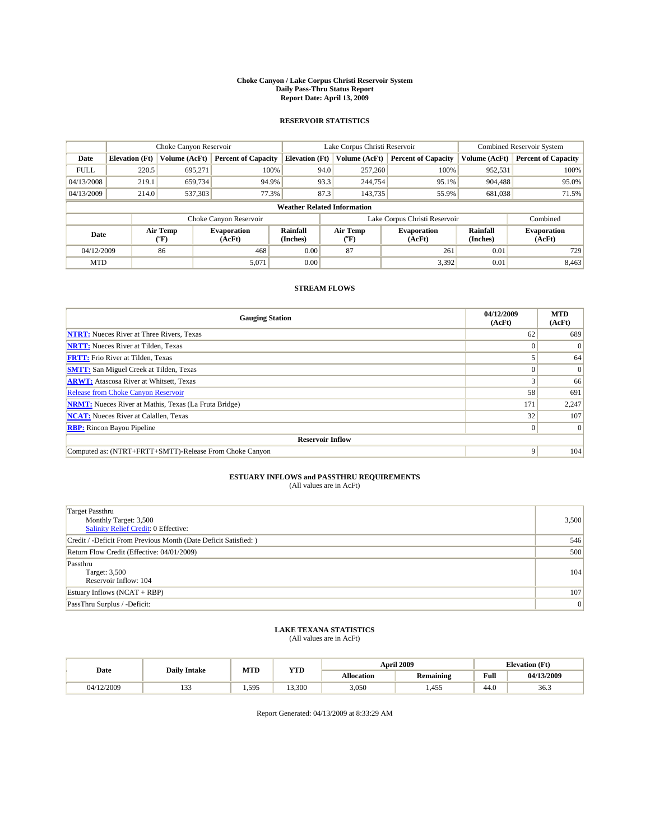#### **Choke Canyon / Lake Corpus Christi Reservoir System Daily Pass-Thru Status Report Report Date: April 13, 2009**

#### **RESERVOIR STATISTICS**

|             | Choke Canyon Reservoir             |                             |                              |                       | Lake Corpus Christi Reservoir |                           |                               |                      | <b>Combined Reservoir System</b> |  |
|-------------|------------------------------------|-----------------------------|------------------------------|-----------------------|-------------------------------|---------------------------|-------------------------------|----------------------|----------------------------------|--|
| Date        | <b>Elevation</b> (Ft)              | Volume (AcFt)               | <b>Percent of Capacity</b>   | <b>Elevation</b> (Ft) |                               | Volume (AcFt)             | <b>Percent of Capacity</b>    | Volume (AcFt)        | <b>Percent of Capacity</b>       |  |
| <b>FULL</b> | 220.5                              | 695,271                     | 100%                         |                       | 94.0                          | 257,260                   | 100%                          | 952,531              | 100%                             |  |
| 04/13/2008  | 219.1                              | 659,734                     | 94.9%                        |                       | 93.3                          | 244,754                   | 95.1%                         | 904,488              | 95.0%                            |  |
| 04/13/2009  | 214.0                              | 537,303                     | 77.3%                        |                       | 87.3                          | 143.735                   | 55.9%                         | 681,038              | 71.5%                            |  |
|             | <b>Weather Related Information</b> |                             |                              |                       |                               |                           |                               |                      |                                  |  |
|             |                                    |                             | Choke Canyon Reservoir       |                       |                               |                           | Lake Corpus Christi Reservoir |                      | Combined                         |  |
| Date        |                                    | Air Temp<br>${}^{\circ}$ F) | <b>Evaporation</b><br>(AcFt) | Rainfall<br>(Inches)  |                               | Air Temp<br>$(^{\circ}F)$ | <b>Evaporation</b><br>(AcFt)  | Rainfall<br>(Inches) | <b>Evaporation</b><br>(AcFt)     |  |
| 04/12/2009  |                                    | 86                          | 468                          | 0.00                  |                               | 87                        | 261                           | 0.01                 | 729                              |  |
| <b>MTD</b>  |                                    |                             | 5,071                        | 0.00                  |                               |                           | 3,392                         | 0.01                 | 8,463                            |  |

### **STREAM FLOWS**

| <b>Gauging Station</b>                                       | 04/12/2009<br>(AcFt) | <b>MTD</b><br>(AcFt) |
|--------------------------------------------------------------|----------------------|----------------------|
| <b>NTRT:</b> Nueces River at Three Rivers, Texas             | 62                   | 689                  |
| <b>NRTT:</b> Nueces River at Tilden, Texas                   |                      | $\theta$             |
| <b>FRTT:</b> Frio River at Tilden, Texas                     |                      | 64                   |
| <b>SMTT:</b> San Miguel Creek at Tilden, Texas               |                      | $\Omega$             |
| <b>ARWT:</b> Atascosa River at Whitsett, Texas               |                      | 66                   |
| Release from Choke Canyon Reservoir                          | 58                   | 691                  |
| <b>NRMT:</b> Nueces River at Mathis, Texas (La Fruta Bridge) | 171                  | 2,247                |
| <b>NCAT:</b> Nueces River at Calallen, Texas                 | 32                   | 107                  |
| <b>RBP:</b> Rincon Bayou Pipeline                            | $\Omega$             | $\Omega$             |
| <b>Reservoir Inflow</b>                                      |                      |                      |
| Computed as: (NTRT+FRTT+SMTT)-Release From Choke Canyon      | 9                    | 104                  |

# **ESTUARY INFLOWS and PASSTHRU REQUIREMENTS**<br>(All values are in AcFt)

| <b>Target Passthru</b><br>Monthly Target: 3,500<br><b>Salinity Relief Credit: 0 Effective:</b> | 3,500 |
|------------------------------------------------------------------------------------------------|-------|
| Credit / -Deficit From Previous Month (Date Deficit Satisfied: )                               | 546   |
| Return Flow Credit (Effective: 04/01/2009)                                                     | 500   |
| Passthru<br>Target: 3,500<br>Reservoir Inflow: 104                                             | 104   |
| Estuary Inflows $(NCAT + RBP)$                                                                 | 107   |
| PassThru Surplus / -Deficit:                                                                   | 0     |

## **LAKE TEXANA STATISTICS** (All values are in AcFt)

|            | <b>Daily Intake</b> | MTD   | <b>YTD</b> |                   | <b>April 2009</b> | <b>Elevation</b> (Ft)                       |            |
|------------|---------------------|-------|------------|-------------------|-------------------|---------------------------------------------|------------|
| Date       |                     |       |            | <b>Allocation</b> | <b>Remaining</b>  | Full<br>the contract of the contract of the | 04/13/2009 |
| 04/12/2009 | $\sim$<br>          | 1.595 | 3.300      | 3,050             | .455              | 44.0                                        | 36.3       |

Report Generated: 04/13/2009 at 8:33:29 AM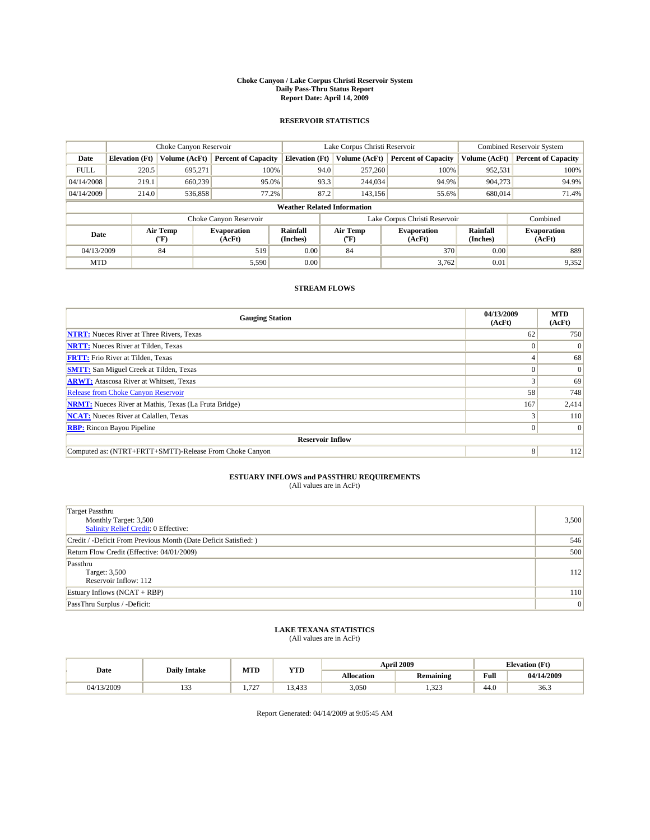#### **Choke Canyon / Lake Corpus Christi Reservoir System Daily Pass-Thru Status Report Report Date: April 14, 2009**

#### **RESERVOIR STATISTICS**

|             | Choke Canyon Reservoir             |                          |                              |                       | Lake Corpus Christi Reservoir |                  |                               |                      | <b>Combined Reservoir System</b> |  |  |
|-------------|------------------------------------|--------------------------|------------------------------|-----------------------|-------------------------------|------------------|-------------------------------|----------------------|----------------------------------|--|--|
| Date        | <b>Elevation</b> (Ft)              | Volume (AcFt)            | <b>Percent of Capacity</b>   | <b>Elevation (Ft)</b> |                               | Volume (AcFt)    | <b>Percent of Capacity</b>    | Volume (AcFt)        | <b>Percent of Capacity</b>       |  |  |
| <b>FULL</b> | 220.5                              | 695,271                  | 100%                         |                       | 94.0                          | 257,260          | 100%                          | 952,531              | 100%                             |  |  |
| 04/14/2008  | 219.1                              | 660,239                  | 95.0%                        |                       | 93.3                          | 244,034          | 94.9%                         | 904.273              | 94.9%                            |  |  |
| 04/14/2009  | 214.0                              | 536,858                  | 77.2%                        |                       | 87.2                          | 143.156          | 55.6%                         | 680,014              | 71.4%                            |  |  |
|             | <b>Weather Related Information</b> |                          |                              |                       |                               |                  |                               |                      |                                  |  |  |
|             |                                    |                          | Choke Canyon Reservoir       |                       |                               |                  | Lake Corpus Christi Reservoir |                      | Combined                         |  |  |
| Date        |                                    | Air Temp<br>$\rm ^{o}F)$ | <b>Evaporation</b><br>(AcFt) | Rainfall<br>(Inches)  |                               | Air Temp<br>("F) | <b>Evaporation</b><br>(AcFt)  | Rainfall<br>(Inches) | <b>Evaporation</b><br>(AcFt)     |  |  |
| 04/13/2009  |                                    | 84                       | 519                          | 0.00                  |                               | 84               | 370                           | 0.00                 | 889                              |  |  |
| <b>MTD</b>  |                                    |                          | 5,590                        | 0.00                  |                               |                  | 3,762                         | 0.01                 | 9,352                            |  |  |

### **STREAM FLOWS**

| <b>Gauging Station</b>                                       | 04/13/2009<br>(AcFt) | <b>MTD</b><br>(AcFt) |
|--------------------------------------------------------------|----------------------|----------------------|
| <b>NTRT:</b> Nueces River at Three Rivers, Texas             | 62                   | 750                  |
| <b>NRTT:</b> Nueces River at Tilden, Texas                   |                      | $\Omega$             |
| <b>FRTT:</b> Frio River at Tilden, Texas                     |                      | 68                   |
| <b>SMTT:</b> San Miguel Creek at Tilden, Texas               |                      | $\Omega$             |
| <b>ARWT:</b> Atascosa River at Whitsett, Texas               |                      | 69                   |
| Release from Choke Canyon Reservoir                          | 58                   | 748                  |
| <b>NRMT:</b> Nueces River at Mathis, Texas (La Fruta Bridge) | 167                  | 2,414                |
| <b>NCAT:</b> Nueces River at Calallen, Texas                 |                      | 110                  |
| <b>RBP:</b> Rincon Bayou Pipeline                            | $\Omega$             | $\Omega$             |
| <b>Reservoir Inflow</b>                                      |                      |                      |
| Computed as: (NTRT+FRTT+SMTT)-Release From Choke Canyon      | 8                    | 112                  |

# **ESTUARY INFLOWS and PASSTHRU REQUIREMENTS**<br>(All values are in AcFt)

| <b>Target Passthru</b><br>Monthly Target: 3,500<br>Salinity Relief Credit: 0 Effective: | 3,500 |
|-----------------------------------------------------------------------------------------|-------|
| Credit / -Deficit From Previous Month (Date Deficit Satisfied: )                        | 546   |
| Return Flow Credit (Effective: 04/01/2009)                                              | 500   |
| Passthru<br>Target: 3,500<br>Reservoir Inflow: 112                                      | 112   |
| Estuary Inflows (NCAT + RBP)                                                            | 110   |
| PassThru Surplus / -Deficit:                                                            | 0     |

## **LAKE TEXANA STATISTICS** (All values are in AcFt)

|            | <b>Daily Intake</b> | MTD                           | <b>YTD</b> |                   | <b>April 2009</b> | <b>Elevation</b> (Ft)                       |            |  |
|------------|---------------------|-------------------------------|------------|-------------------|-------------------|---------------------------------------------|------------|--|
| Date       |                     |                               |            | <b>Allocation</b> | <b>Remaining</b>  | Full<br>the contract of the contract of the | 04/14/2009 |  |
| 04/13/2009 | $\sim$<br>          | $\overline{\phantom{a}}$<br>. | 13.433     | 3,050             | 222<br>ر ے ر      | 44.0                                        | 36.3       |  |

Report Generated: 04/14/2009 at 9:05:45 AM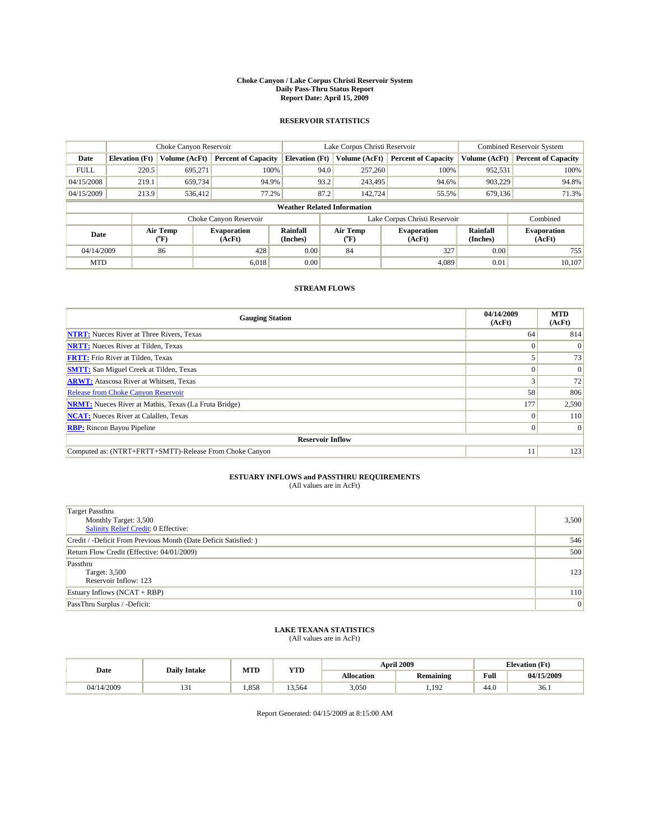#### **Choke Canyon / Lake Corpus Christi Reservoir System Daily Pass-Thru Status Report Report Date: April 15, 2009**

#### **RESERVOIR STATISTICS**

|             | Choke Canyon Reservoir             |                          |                              |                       | Lake Corpus Christi Reservoir |         |                               |                      | <b>Combined Reservoir System</b> |  |  |
|-------------|------------------------------------|--------------------------|------------------------------|-----------------------|-------------------------------|---------|-------------------------------|----------------------|----------------------------------|--|--|
| Date        | <b>Elevation</b> (Ft)              | Volume (AcFt)            | <b>Percent of Capacity</b>   | <b>Elevation</b> (Ft) | Volume (AcFt)                 |         | <b>Percent of Capacity</b>    | Volume (AcFt)        | <b>Percent of Capacity</b>       |  |  |
| <b>FULL</b> | 220.5                              | 695,271                  | 100%                         |                       | 94.0                          | 257,260 | 100%                          | 952,531              | 100%                             |  |  |
| 04/15/2008  | 219.1                              | 659,734                  | 94.9%                        |                       | 93.2                          | 243,495 | 94.6%                         | 903,229              | 94.8%                            |  |  |
| 04/15/2009  | 213.9                              | 536.412                  | 77.2%                        |                       | 87.2                          | 142.724 | 55.5%                         | 679,136              | 71.3%                            |  |  |
|             | <b>Weather Related Information</b> |                          |                              |                       |                               |         |                               |                      |                                  |  |  |
|             |                                    |                          | Choke Canyon Reservoir       |                       |                               |         | Lake Corpus Christi Reservoir |                      | Combined                         |  |  |
| Date        |                                    | Air Temp<br>$\rm ^{o}F)$ | <b>Evaporation</b><br>(AcFt) | Rainfall<br>(Inches)  | Air Temp<br>("F)              |         | <b>Evaporation</b><br>(AcFt)  | Rainfall<br>(Inches) | <b>Evaporation</b><br>(AcFt)     |  |  |
| 04/14/2009  |                                    | 86                       | 428                          | 0.00                  | 84                            |         | 327                           | 0.00                 | 755                              |  |  |
| <b>MTD</b>  |                                    |                          | 6.018                        | 0.00                  |                               |         | 4.089                         | 0.01                 | 10.107                           |  |  |

### **STREAM FLOWS**

| <b>Gauging Station</b>                                       | 04/14/2009<br>(AcFt) | <b>MTD</b><br>(AcFt) |
|--------------------------------------------------------------|----------------------|----------------------|
| <b>NTRT:</b> Nueces River at Three Rivers, Texas             | 64                   | 814                  |
| <b>NRTT:</b> Nueces River at Tilden, Texas                   |                      | $\Omega$             |
| <b>FRTT:</b> Frio River at Tilden, Texas                     |                      | 73                   |
| <b>SMTT:</b> San Miguel Creek at Tilden, Texas               |                      | $\Omega$             |
| <b>ARWT:</b> Atascosa River at Whitsett, Texas               |                      | 72                   |
| <b>Release from Choke Canyon Reservoir</b>                   | 58                   | 806                  |
| <b>NRMT:</b> Nueces River at Mathis, Texas (La Fruta Bridge) | 177                  | 2,590                |
| <b>NCAT:</b> Nueces River at Calallen, Texas                 | $\Omega$             | 110                  |
| <b>RBP:</b> Rincon Bayou Pipeline                            | $\overline{0}$       | $\Omega$             |
| <b>Reservoir Inflow</b>                                      |                      |                      |
| Computed as: (NTRT+FRTT+SMTT)-Release From Choke Canyon      | 11                   | 123                  |

## **ESTUARY INFLOWS and PASSTHRU REQUIREMENTS**<br>(All values are in AcFt)

| <b>Target Passthru</b><br>Monthly Target: 3,500<br>Salinity Relief Credit: 0 Effective: | 3,500 |
|-----------------------------------------------------------------------------------------|-------|
| Credit / -Deficit From Previous Month (Date Deficit Satisfied: )                        | 546   |
| Return Flow Credit (Effective: 04/01/2009)                                              | 500   |
| Passthru<br>Target: 3,500<br>Reservoir Inflow: 123                                      | 123   |
| Estuary Inflows (NCAT + RBP)                                                            | 110   |
| PassThru Surplus / -Deficit:                                                            | 0     |

## **LAKE TEXANA STATISTICS** (All values are in AcFt)

| Date       | <b>Daily Intake</b> | MTD  | <b>YTD</b> |                   | <b>April 2009</b> | <b>Elevation</b> (Ft)                       |            |
|------------|---------------------|------|------------|-------------------|-------------------|---------------------------------------------|------------|
|            |                     |      |            | <b>Allocation</b> | <b>Remaining</b>  | Full<br>the contract of the contract of the | 04/15/2009 |
| 04/14/2009 |                     | .858 | 13.564     | 3,050             | .192              | 44.0                                        | 36.1       |

Report Generated: 04/15/2009 at 8:15:00 AM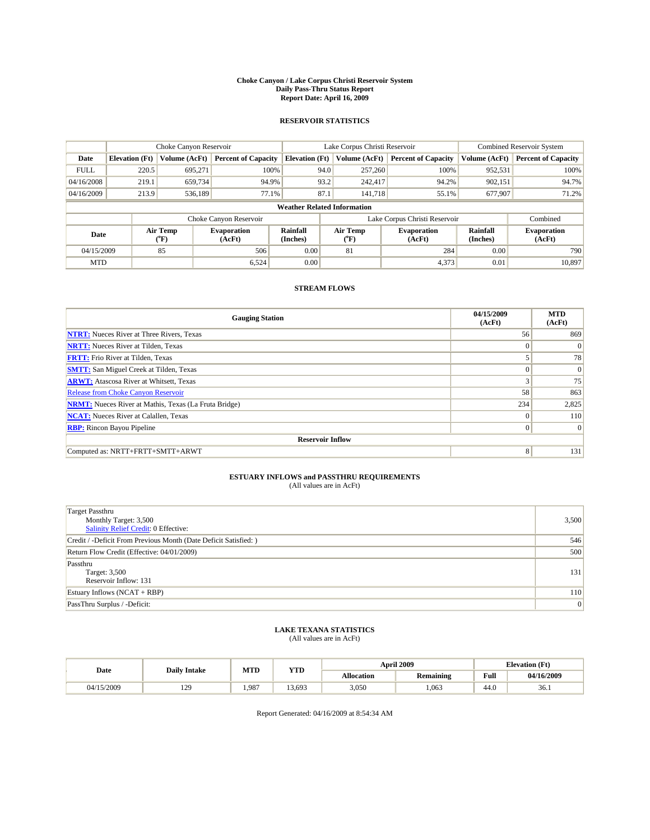#### **Choke Canyon / Lake Corpus Christi Reservoir System Daily Pass-Thru Status Report Report Date: April 16, 2009**

#### **RESERVOIR STATISTICS**

|             |                                    | Choke Canyon Reservoir |                              |                       | Lake Corpus Christi Reservoir | <b>Combined Reservoir System</b> |                      |                              |  |  |
|-------------|------------------------------------|------------------------|------------------------------|-----------------------|-------------------------------|----------------------------------|----------------------|------------------------------|--|--|
| Date        | <b>Elevation</b> (Ft)              | Volume (AcFt)          | <b>Percent of Capacity</b>   | <b>Elevation</b> (Ft) | Volume (AcFt)                 | <b>Percent of Capacity</b>       | Volume (AcFt)        | <b>Percent of Capacity</b>   |  |  |
| <b>FULL</b> | 220.5                              | 695,271                | 100%                         | 94.0                  | 257,260                       | 100%                             | 952,531              | 100%                         |  |  |
| 04/16/2008  | 219.1                              | 659,734                | 94.9%                        | 93.2                  | 242,417                       | 94.2%                            | 902,151              | 94.7%                        |  |  |
| 04/16/2009  | 213.9                              | 536,189                | 77.1%                        | 87.1                  | 141.718                       | 55.1%                            | 677,907              | 71.2%                        |  |  |
|             | <b>Weather Related Information</b> |                        |                              |                       |                               |                                  |                      |                              |  |  |
|             |                                    |                        | Choke Canyon Reservoir       |                       |                               | Lake Corpus Christi Reservoir    |                      | Combined                     |  |  |
| Date        |                                    | Air Temp<br>(°F)       | <b>Evaporation</b><br>(AcFt) | Rainfall<br>(Inches)  | Air Temp<br>("F)              | <b>Evaporation</b><br>(AcFt)     | Rainfall<br>(Inches) | <b>Evaporation</b><br>(AcFt) |  |  |
| 04/15/2009  |                                    | 85                     | 506                          | 0.00                  | 81                            | 284                              | 0.00                 | 790                          |  |  |
| <b>MTD</b>  |                                    |                        | 6.524                        | 0.00                  |                               | 4,373                            | 0.01                 | 10.897                       |  |  |

### **STREAM FLOWS**

| <b>Gauging Station</b>                                       | 04/15/2009<br>(AcFt) | <b>MTD</b><br>(AcFt) |  |  |  |  |
|--------------------------------------------------------------|----------------------|----------------------|--|--|--|--|
| <b>NTRT:</b> Nueces River at Three Rivers, Texas             | 56                   | 869                  |  |  |  |  |
| <b>NRTT:</b> Nueces River at Tilden, Texas                   | $\Omega$             | $\Omega$             |  |  |  |  |
| <b>FRTT:</b> Frio River at Tilden, Texas                     |                      | 78                   |  |  |  |  |
| <b>SMTT:</b> San Miguel Creek at Tilden, Texas               | $\Omega$             | $\Omega$             |  |  |  |  |
| <b>ARWT:</b> Atascosa River at Whitsett, Texas               | 3                    | 75                   |  |  |  |  |
| <b>Release from Choke Canyon Reservoir</b>                   | 58                   | 863                  |  |  |  |  |
| <b>NRMT:</b> Nueces River at Mathis, Texas (La Fruta Bridge) | 234                  | 2,825                |  |  |  |  |
| <b>NCAT:</b> Nueces River at Calallen, Texas                 | $\Omega$             | 110                  |  |  |  |  |
| <b>RBP:</b> Rincon Bayou Pipeline                            | $\mathbf{0}$         | $\Omega$             |  |  |  |  |
| <b>Reservoir Inflow</b>                                      |                      |                      |  |  |  |  |
| Computed as: NRTT+FRTT+SMTT+ARWT                             | 8                    | 131                  |  |  |  |  |

# **ESTUARY INFLOWS and PASSTHRU REQUIREMENTS**<br>(All values are in AcFt)

| <b>Target Passthru</b><br>Monthly Target: 3,500<br>Salinity Relief Credit: 0 Effective: | 3,500 |
|-----------------------------------------------------------------------------------------|-------|
| Credit / -Deficit From Previous Month (Date Deficit Satisfied: )                        | 546   |
| Return Flow Credit (Effective: 04/01/2009)                                              | 500   |
| Passthru<br>Target: 3,500<br>Reservoir Inflow: 131                                      | 131   |
| Estuary Inflows $(NCAT + RBP)$                                                          | 110   |
| PassThru Surplus / -Deficit:                                                            | 0     |

## **LAKE TEXANA STATISTICS** (All values are in AcFt)

|            | <b>Daily Intake</b>   | MTD   | <b>YTD</b> |                   | <b>April 2009</b> | <b>Elevation</b> (Ft)                       |            |
|------------|-----------------------|-------|------------|-------------------|-------------------|---------------------------------------------|------------|
| Date       |                       |       |            | <b>Allocation</b> | <b>Remaining</b>  | Full<br>the contract of the contract of the | 04/16/2009 |
| 04/15/2009 | 120<br>$\overline{1}$ | 1.987 | 3.693      | 3,050             | .063              | 44.0                                        | 36.1       |

Report Generated: 04/16/2009 at 8:54:34 AM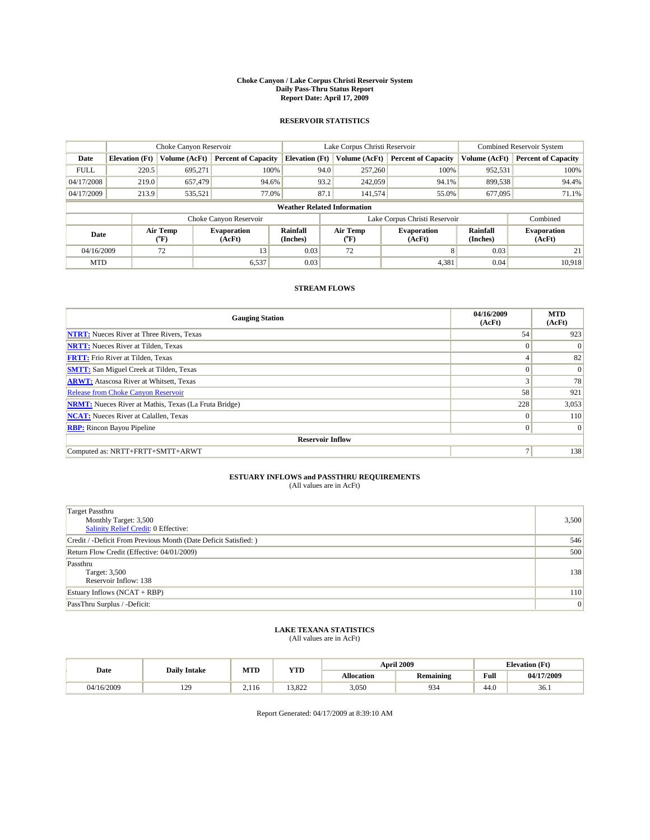#### **Choke Canyon / Lake Corpus Christi Reservoir System Daily Pass-Thru Status Report Report Date: April 17, 2009**

#### **RESERVOIR STATISTICS**

|             |                                    | Choke Canyon Reservoir |                              |                       | Lake Corpus Christi Reservoir | <b>Combined Reservoir System</b> |                      |                              |  |  |
|-------------|------------------------------------|------------------------|------------------------------|-----------------------|-------------------------------|----------------------------------|----------------------|------------------------------|--|--|
| Date        | <b>Elevation</b> (Ft)              | Volume (AcFt)          | <b>Percent of Capacity</b>   | <b>Elevation</b> (Ft) | Volume (AcFt)                 | <b>Percent of Capacity</b>       | Volume (AcFt)        | <b>Percent of Capacity</b>   |  |  |
| <b>FULL</b> | 220.5                              | 695,271                | 100%                         | 94.0                  | 257,260                       | 100%                             | 952,531              | 100%                         |  |  |
| 04/17/2008  | 219.0                              | 657,479                | 94.6%                        | 93.2                  | 242,059                       | 94.1%                            | 899,538              | 94.4%                        |  |  |
| 04/17/2009  | 213.9                              | 535,521                | 77.0%                        | 87.1                  | 141,574                       | 55.0%                            | 677,095              | 71.1%                        |  |  |
|             | <b>Weather Related Information</b> |                        |                              |                       |                               |                                  |                      |                              |  |  |
|             |                                    |                        | Choke Canyon Reservoir       |                       |                               | Lake Corpus Christi Reservoir    |                      | Combined                     |  |  |
| Date        |                                    | Air Temp<br>(°F)       | <b>Evaporation</b><br>(AcFt) | Rainfall<br>(Inches)  | Air Temp<br>("F)              | <b>Evaporation</b><br>(AcFt)     | Rainfall<br>(Inches) | <b>Evaporation</b><br>(AcFt) |  |  |
| 04/16/2009  |                                    | 72                     | 13                           | 0.03                  | 72                            | 8                                | 0.03                 | 21                           |  |  |
| <b>MTD</b>  |                                    |                        | 6,537                        | 0.03                  |                               | 4,381                            | 0.04                 | 10.918                       |  |  |

### **STREAM FLOWS**

| <b>Gauging Station</b>                                       | 04/16/2009<br>(AcFt) | <b>MTD</b><br>(AcFt) |  |  |  |  |
|--------------------------------------------------------------|----------------------|----------------------|--|--|--|--|
| <b>NTRT:</b> Nueces River at Three Rivers, Texas             | 54                   | 923                  |  |  |  |  |
| <b>NRTT:</b> Nueces River at Tilden, Texas                   | $\Omega$             | $\Omega$             |  |  |  |  |
| <b>FRTT:</b> Frio River at Tilden, Texas                     |                      | 82                   |  |  |  |  |
| <b>SMTT:</b> San Miguel Creek at Tilden, Texas               | $\Omega$             | $\Omega$             |  |  |  |  |
| <b>ARWT:</b> Atascosa River at Whitsett, Texas               | 3                    | 78                   |  |  |  |  |
| <b>Release from Choke Canyon Reservoir</b>                   | 58                   | 921                  |  |  |  |  |
| <b>NRMT:</b> Nueces River at Mathis, Texas (La Fruta Bridge) | 228                  | 3,053                |  |  |  |  |
| <b>NCAT:</b> Nueces River at Calallen, Texas                 | $\Omega$             | 110                  |  |  |  |  |
| <b>RBP:</b> Rincon Bayou Pipeline                            | $\mathbf{0}$         | $\Omega$             |  |  |  |  |
| <b>Reservoir Inflow</b>                                      |                      |                      |  |  |  |  |
| Computed as: NRTT+FRTT+SMTT+ARWT                             | 7                    | 138                  |  |  |  |  |

# **ESTUARY INFLOWS and PASSTHRU REQUIREMENTS**<br>(All values are in AcFt)

| <b>Target Passthru</b><br>Monthly Target: 3,500<br>Salinity Relief Credit: 0 Effective: | 3,500 |
|-----------------------------------------------------------------------------------------|-------|
| Credit / -Deficit From Previous Month (Date Deficit Satisfied: )                        | 546   |
| Return Flow Credit (Effective: 04/01/2009)                                              | 500   |
| Passthru<br>Target: 3,500<br>Reservoir Inflow: 138                                      | 138   |
| Estuary Inflows $(NCAT + RBP)$                                                          | 110   |
| PassThru Surplus / -Deficit:                                                            | 0     |

## **LAKE TEXANA STATISTICS** (All values are in AcFt)

| Date       | <b>Daily Intake</b>   | MTD   | <b>YTD</b> |                   | <b>April 2009</b> | <b>Elevation</b> (Ft) |            |
|------------|-----------------------|-------|------------|-------------------|-------------------|-----------------------|------------|
|            |                       |       |            | <b>Allocation</b> | <b>Remaining</b>  | Full                  | 04/17/2009 |
| 04/16/2009 | 120<br>$\overline{1}$ | 2.116 | 3.822      | 3,050             | 934               | 44.0                  | 36.1       |

Report Generated: 04/17/2009 at 8:39:10 AM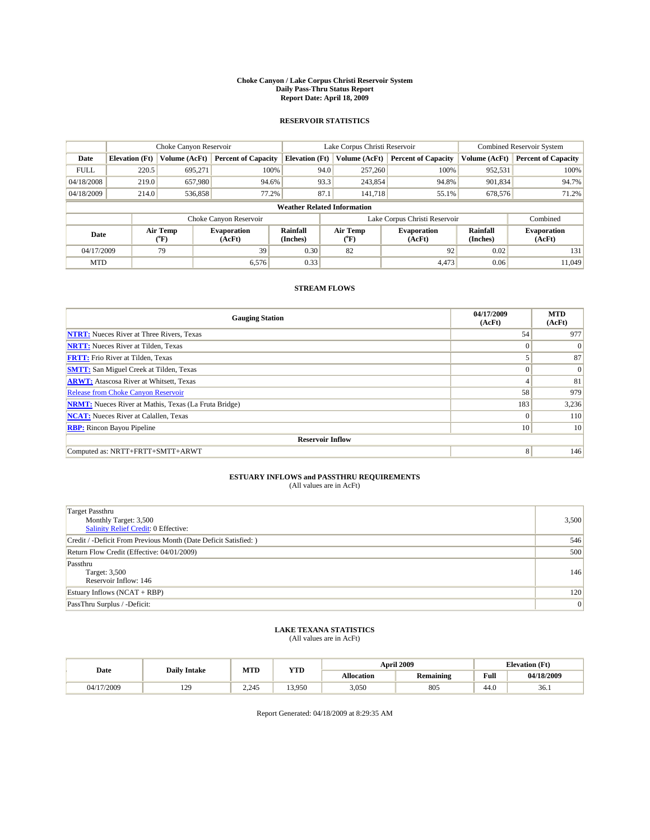#### **Choke Canyon / Lake Corpus Christi Reservoir System Daily Pass-Thru Status Report Report Date: April 18, 2009**

#### **RESERVOIR STATISTICS**

|             |                                    | Choke Canyon Reservoir |                              | Lake Corpus Christi Reservoir |                          |  |                               | <b>Combined Reservoir System</b> |                              |  |
|-------------|------------------------------------|------------------------|------------------------------|-------------------------------|--------------------------|--|-------------------------------|----------------------------------|------------------------------|--|
| Date        | <b>Elevation</b> (Ft)              | Volume (AcFt)          | <b>Percent of Capacity</b>   | <b>Elevation (Ft)</b>         | Volume (AcFt)            |  | <b>Percent of Capacity</b>    | Volume (AcFt)                    | <b>Percent of Capacity</b>   |  |
| <b>FULL</b> | 220.5                              | 695,271                | 100%                         |                               | 257,260<br>94.0          |  | 100%                          | 952,531                          | 100%                         |  |
| 04/18/2008  | 219.0                              | 657.980                | 94.6%                        |                               | 93.3<br>243,854          |  | 94.8%                         | 901,834                          | 94.7%                        |  |
| 04/18/2009  | 214.0                              | 536,858                | 77.2%                        |                               | 87.1<br>141.718          |  | 55.1%                         | 678,576                          | 71.2%                        |  |
|             | <b>Weather Related Information</b> |                        |                              |                               |                          |  |                               |                                  |                              |  |
|             |                                    |                        | Choke Canyon Reservoir       |                               |                          |  | Lake Corpus Christi Reservoir |                                  | Combined                     |  |
| Date        |                                    | Air Temp<br>(°F)       | <b>Evaporation</b><br>(AcFt) | Rainfall<br>(Inches)          | Air Temp<br>$\rm ^{o}F)$ |  | <b>Evaporation</b><br>(AcFt)  | Rainfall<br>(Inches)             | <b>Evaporation</b><br>(AcFt) |  |
| 04/17/2009  |                                    | 79                     | 39                           | 0.30                          | 82                       |  | 92                            | 0.02                             | 131                          |  |
| <b>MTD</b>  |                                    |                        | 6,576                        | 0.33                          |                          |  | 4,473                         | 0.06                             | 11.049                       |  |

### **STREAM FLOWS**

| <b>Gauging Station</b>                                       | 04/17/2009<br>(AcFt) | <b>MTD</b><br>(AcFt) |  |  |  |  |  |
|--------------------------------------------------------------|----------------------|----------------------|--|--|--|--|--|
| <b>NTRT:</b> Nueces River at Three Rivers, Texas             | 54                   | 977                  |  |  |  |  |  |
| <b>NRTT:</b> Nueces River at Tilden, Texas                   | $\Omega$             | $\Omega$             |  |  |  |  |  |
| <b>FRTT:</b> Frio River at Tilden, Texas                     |                      | 87                   |  |  |  |  |  |
| <b>SMTT:</b> San Miguel Creek at Tilden, Texas               | $\Omega$             | $\Omega$             |  |  |  |  |  |
| <b>ARWT:</b> Atascosa River at Whitsett, Texas               | 4                    | 81                   |  |  |  |  |  |
| Release from Choke Canyon Reservoir                          | 58                   | 979                  |  |  |  |  |  |
| <b>NRMT:</b> Nueces River at Mathis, Texas (La Fruta Bridge) | 183                  | 3,236                |  |  |  |  |  |
| <b>NCAT:</b> Nueces River at Calallen, Texas                 | $\Omega$             | 110                  |  |  |  |  |  |
| <b>RBP:</b> Rincon Bayou Pipeline                            | 10 <sup>1</sup>      | 10                   |  |  |  |  |  |
| <b>Reservoir Inflow</b>                                      |                      |                      |  |  |  |  |  |
| Computed as: NRTT+FRTT+SMTT+ARWT                             | 8                    | 146                  |  |  |  |  |  |

# **ESTUARY INFLOWS and PASSTHRU REQUIREMENTS**<br>(All values are in AcFt)

| <b>Target Passthru</b><br>Monthly Target: 3,500<br>Salinity Relief Credit: 0 Effective: | 3,500 |
|-----------------------------------------------------------------------------------------|-------|
| Credit / -Deficit From Previous Month (Date Deficit Satisfied: )                        | 546   |
| Return Flow Credit (Effective: 04/01/2009)                                              | 500   |
| Passthru<br>Target: 3,500<br>Reservoir Inflow: 146                                      | 146   |
| Estuary Inflows $(NCAT + RBP)$                                                          | 120   |
| PassThru Surplus / -Deficit:                                                            | 0     |

## **LAKE TEXANA STATISTICS** (All values are in AcFt)

| Date       | <b>Daily Intake</b> | MTD   | <b>YTD</b> |                   | <b>April 2009</b> | <b>Elevation</b> (Ft) |            |
|------------|---------------------|-------|------------|-------------------|-------------------|-----------------------|------------|
|            |                     |       |            | <b>Allocation</b> | <b>Remaining</b>  | Full                  | 04/18/2009 |
| 04/17/2009 | 120<br>1/2          | 2.245 | 13.950     | 3.050             | 805               | 44.0                  | 36.1       |

Report Generated: 04/18/2009 at 8:29:35 AM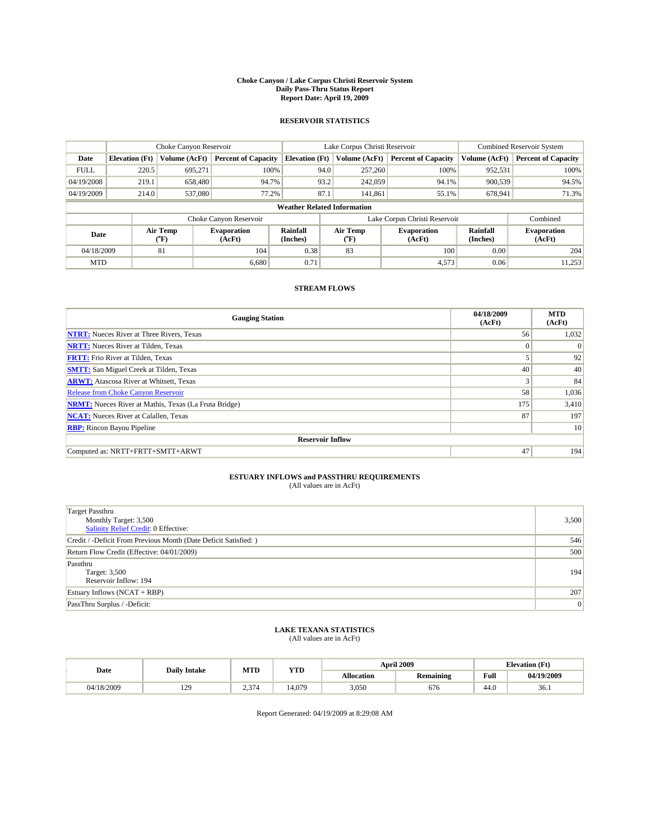#### **Choke Canyon / Lake Corpus Christi Reservoir System Daily Pass-Thru Status Report Report Date: April 19, 2009**

#### **RESERVOIR STATISTICS**

|             | Choke Canyon Reservoir             |                             |                              |                       | Lake Corpus Christi Reservoir |                          |                               |                      | <b>Combined Reservoir System</b> |  |
|-------------|------------------------------------|-----------------------------|------------------------------|-----------------------|-------------------------------|--------------------------|-------------------------------|----------------------|----------------------------------|--|
| Date        | <b>Elevation</b> (Ft)              | Volume (AcFt)               | <b>Percent of Capacity</b>   | <b>Elevation (Ft)</b> |                               | Volume (AcFt)            | <b>Percent of Capacity</b>    | Volume (AcFt)        | <b>Percent of Capacity</b>       |  |
| <b>FULL</b> | 220.5                              | 695,271                     | 100%                         |                       | 94.0                          | 257,260                  | 100%                          | 952,531              | 100%                             |  |
| 04/19/2008  | 219.1                              | 658,480                     | 94.7%                        |                       | 93.2                          | 242,059                  | 94.1%                         | 900,539              | 94.5%                            |  |
| 04/19/2009  | 214.0                              | 537,080                     | 77.2%                        |                       | 87.1                          | 141.861                  | 55.1%                         | 678,941              | 71.3%                            |  |
|             | <b>Weather Related Information</b> |                             |                              |                       |                               |                          |                               |                      |                                  |  |
|             |                                    |                             | Choke Canyon Reservoir       |                       |                               |                          | Lake Corpus Christi Reservoir |                      | Combined                         |  |
| Date        |                                    | Air Temp<br>${}^{\circ}$ F) | <b>Evaporation</b><br>(AcFt) | Rainfall<br>(Inches)  |                               | Air Temp<br>$\rm ^{o}F)$ | <b>Evaporation</b><br>(AcFt)  | Rainfall<br>(Inches) | <b>Evaporation</b><br>(AcFt)     |  |
| 04/18/2009  |                                    | 81                          | 104                          | 0.38                  |                               | 83                       | 100                           | 0.00                 | 204                              |  |
| <b>MTD</b>  |                                    |                             | 6.680                        | 0.71                  |                               |                          | 4,573                         | 0.06                 | 11,253'                          |  |

### **STREAM FLOWS**

| <b>Gauging Station</b>                                       | 04/18/2009<br>(AcFt) | <b>MTD</b><br>(AcFt) |
|--------------------------------------------------------------|----------------------|----------------------|
| <b>NTRT:</b> Nueces River at Three Rivers, Texas             | 56                   | 1,032                |
| <b>NRTT:</b> Nueces River at Tilden, Texas                   | $\Omega$             | $\Omega$             |
| <b>FRTT:</b> Frio River at Tilden, Texas                     |                      | 92                   |
| <b>SMTT:</b> San Miguel Creek at Tilden, Texas               | 40                   | 40                   |
| <b>ARWT:</b> Atascosa River at Whitsett, Texas               | 3                    | 84                   |
| <b>Release from Choke Canyon Reservoir</b>                   | 58                   | 1,036                |
| <b>NRMT:</b> Nueces River at Mathis, Texas (La Fruta Bridge) | 175                  | 3,410                |
| <b>NCAT:</b> Nueces River at Calallen, Texas                 | 87                   | 197                  |
| <b>RBP:</b> Rincon Bayou Pipeline                            |                      | 10                   |
| <b>Reservoir Inflow</b>                                      |                      |                      |
| Computed as: NRTT+FRTT+SMTT+ARWT                             | 47                   | 194                  |

# **ESTUARY INFLOWS and PASSTHRU REQUIREMENTS**<br>(All values are in AcFt)

| <b>Target Passthru</b><br>Monthly Target: 3,500<br>Salinity Relief Credit: 0 Effective: | 3,500 |
|-----------------------------------------------------------------------------------------|-------|
| Credit / -Deficit From Previous Month (Date Deficit Satisfied: )                        | 546   |
| Return Flow Credit (Effective: 04/01/2009)                                              | 500   |
| Passthru<br>Target: 3,500<br>Reservoir Inflow: 194                                      | 194   |
| Estuary Inflows $(NCAT + RBP)$                                                          | 207   |
| PassThru Surplus / -Deficit:                                                            | 0     |

## **LAKE TEXANA STATISTICS** (All values are in AcFt)

|            | <b>Daily Intake</b> | MTD   | <b>YTD</b> |                   | <b>April 2009</b> | <b>Elevation</b> (Ft)                       |            |
|------------|---------------------|-------|------------|-------------------|-------------------|---------------------------------------------|------------|
| Date       |                     |       |            | <b>Allocation</b> | Remaining         | Full<br>the contract of the contract of the | 04/19/2009 |
| 04/18/2009 | 120<br>1/2          | 2.374 | 4.07c      | 3,050             | 676               | 44.0                                        | 36.1       |

Report Generated: 04/19/2009 at 8:29:08 AM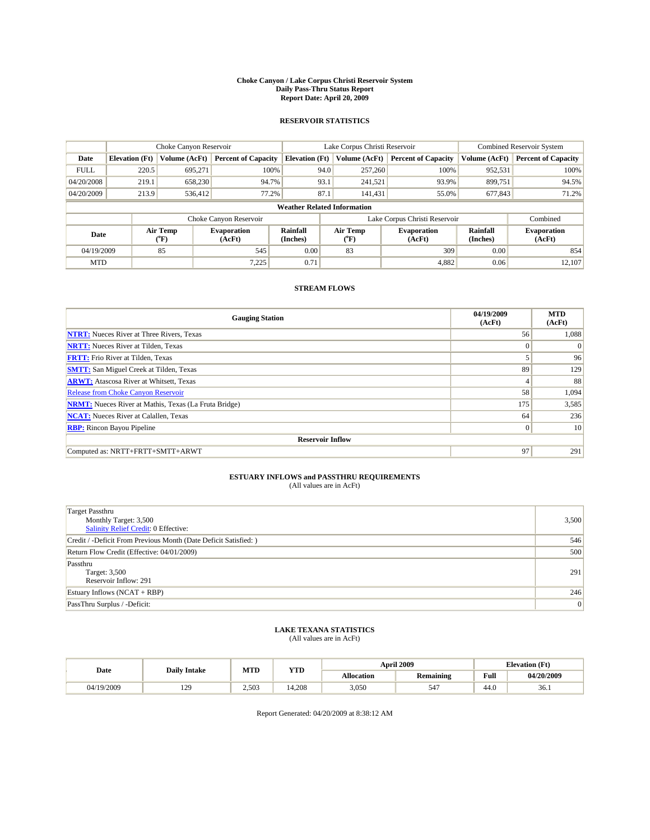#### **Choke Canyon / Lake Corpus Christi Reservoir System Daily Pass-Thru Status Report Report Date: April 20, 2009**

#### **RESERVOIR STATISTICS**

|             | Choke Canyon Reservoir             |                  |                              |                       | Lake Corpus Christi Reservoir |                  |                               |                      | <b>Combined Reservoir System</b> |  |  |
|-------------|------------------------------------|------------------|------------------------------|-----------------------|-------------------------------|------------------|-------------------------------|----------------------|----------------------------------|--|--|
| Date        | <b>Elevation</b> (Ft)              | Volume (AcFt)    | <b>Percent of Capacity</b>   | <b>Elevation</b> (Ft) |                               | Volume (AcFt)    | <b>Percent of Capacity</b>    | Volume (AcFt)        | <b>Percent of Capacity</b>       |  |  |
| <b>FULL</b> | 220.5                              | 695,271          | 100%                         |                       | 94.0                          | 257,260          | 100%                          | 952,531              | 100%                             |  |  |
| 04/20/2008  | 219.1                              | 658,230          | 94.7%                        |                       | 93.1                          | 241,521          | 93.9%                         | 899,751              | 94.5%                            |  |  |
| 04/20/2009  | 213.9                              | 536,412          | 77.2%                        |                       | 87.1                          | 141,431          | 55.0%                         | 677,843              | 71.2%                            |  |  |
|             | <b>Weather Related Information</b> |                  |                              |                       |                               |                  |                               |                      |                                  |  |  |
|             |                                    |                  | Choke Canyon Reservoir       |                       |                               |                  | Lake Corpus Christi Reservoir |                      | Combined                         |  |  |
| Date        |                                    | Air Temp<br>(°F) | <b>Evaporation</b><br>(AcFt) | Rainfall<br>(Inches)  |                               | Air Temp<br>("F) | <b>Evaporation</b><br>(AcFt)  | Rainfall<br>(Inches) | <b>Evaporation</b><br>(AcFt)     |  |  |
| 04/19/2009  |                                    | 85               | 545                          | 0.00                  |                               | 83               | 309                           | 0.00                 | 854                              |  |  |
| <b>MTD</b>  |                                    |                  | 7.225                        | 0.71                  |                               |                  | 4.882                         | 0.06                 | 12.107                           |  |  |

### **STREAM FLOWS**

| <b>Gauging Station</b>                                       | 04/19/2009<br>(AcFt) | <b>MTD</b><br>(AcFt) |
|--------------------------------------------------------------|----------------------|----------------------|
| <b>NTRT:</b> Nueces River at Three Rivers, Texas             | 56                   | 1,088                |
| <b>NRTT:</b> Nueces River at Tilden, Texas                   | $\Omega$             | $\Omega$             |
| <b>FRTT:</b> Frio River at Tilden, Texas                     |                      | 96                   |
| <b>SMTT:</b> San Miguel Creek at Tilden, Texas               | 89                   | 129                  |
| <b>ARWT:</b> Atascosa River at Whitsett, Texas               | 4                    | 88                   |
| <b>Release from Choke Canyon Reservoir</b>                   | 58                   | 1,094                |
| <b>NRMT:</b> Nueces River at Mathis, Texas (La Fruta Bridge) | 175                  | 3,585                |
| <b>NCAT:</b> Nueces River at Calallen, Texas                 | 64                   | 236                  |
| <b>RBP:</b> Rincon Bayou Pipeline                            | $\mathbf{0}$         | 10                   |
| <b>Reservoir Inflow</b>                                      |                      |                      |
| Computed as: NRTT+FRTT+SMTT+ARWT                             | 97                   | 291                  |

# **ESTUARY INFLOWS and PASSTHRU REQUIREMENTS**<br>(All values are in AcFt)

| <b>Target Passthru</b><br>Monthly Target: 3,500<br>Salinity Relief Credit: 0 Effective: | 3,500 |
|-----------------------------------------------------------------------------------------|-------|
| Credit / -Deficit From Previous Month (Date Deficit Satisfied: )                        | 546   |
| Return Flow Credit (Effective: 04/01/2009)                                              | 500   |
| Passthru<br>Target: 3,500<br>Reservoir Inflow: 291                                      | 291   |
| Estuary Inflows $(NCAT + RBP)$                                                          | 246   |
| PassThru Surplus / -Deficit:                                                            | 0     |

## **LAKE TEXANA STATISTICS** (All values are in AcFt)

| Date       | <b>Daily Intake</b>   | MTD   | <b>YTD</b>       | <b>April 2009</b> |                  | <b>Elevation</b> (Ft) |            |
|------------|-----------------------|-------|------------------|-------------------|------------------|-----------------------|------------|
|            |                       |       |                  | <b>Allocation</b> | <b>Remaining</b> | Full                  | 04/20/2009 |
| 04/19/2009 | 120<br>$\overline{1}$ | 2.503 | ,208<br>$\Delta$ | 3,050             | 547              | 44.0                  | 36.1       |

Report Generated: 04/20/2009 at 8:38:12 AM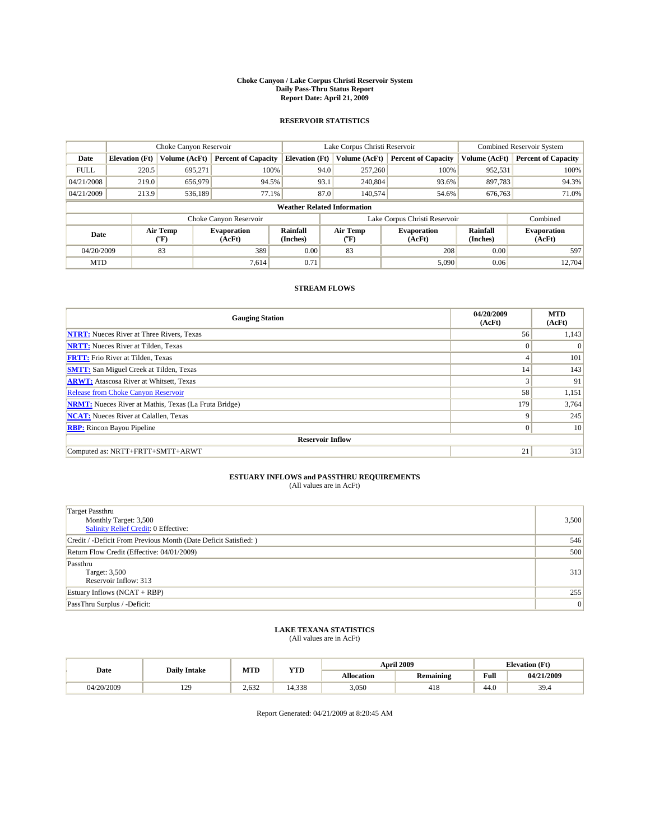#### **Choke Canyon / Lake Corpus Christi Reservoir System Daily Pass-Thru Status Report Report Date: April 21, 2009**

#### **RESERVOIR STATISTICS**

|             | Choke Canyon Reservoir             |                  |                              |                       | Lake Corpus Christi Reservoir |                  |                               |                      | <b>Combined Reservoir System</b> |  |  |
|-------------|------------------------------------|------------------|------------------------------|-----------------------|-------------------------------|------------------|-------------------------------|----------------------|----------------------------------|--|--|
| Date        | <b>Elevation</b> (Ft)              | Volume (AcFt)    | <b>Percent of Capacity</b>   | <b>Elevation</b> (Ft) |                               | Volume (AcFt)    | <b>Percent of Capacity</b>    | Volume (AcFt)        | <b>Percent of Capacity</b>       |  |  |
| <b>FULL</b> | 220.5                              | 695,271          | 100%                         |                       | 94.0                          | 257,260          | 100%                          | 952,531              | 100%                             |  |  |
| 04/21/2008  | 219.0                              | 656,979          | 94.5%                        |                       | 93.1                          | 240,804          | 93.6%                         | 897,783              | 94.3%                            |  |  |
| 04/21/2009  | 213.9                              | 536,189          | 77.1%                        |                       | 87.0                          | 140,574          | 54.6%                         | 676,763              | 71.0%                            |  |  |
|             | <b>Weather Related Information</b> |                  |                              |                       |                               |                  |                               |                      |                                  |  |  |
|             |                                    |                  | Choke Canyon Reservoir       |                       |                               |                  | Lake Corpus Christi Reservoir |                      | Combined                         |  |  |
| Date        |                                    | Air Temp<br>(°F) | <b>Evaporation</b><br>(AcFt) | Rainfall<br>(Inches)  |                               | Air Temp<br>("F) | <b>Evaporation</b><br>(AcFt)  | Rainfall<br>(Inches) | <b>Evaporation</b><br>(AcFt)     |  |  |
| 04/20/2009  |                                    | 83               | 389                          | 0.00                  |                               | 83               | 208                           | 0.00                 | 597                              |  |  |
| <b>MTD</b>  |                                    |                  | 7.614                        | 0.71                  |                               |                  | 5,090                         | 0.06                 | 12.704                           |  |  |

### **STREAM FLOWS**

| <b>Gauging Station</b>                                       | 04/20/2009<br>(AcFt) | <b>MTD</b><br>(AcFt) |
|--------------------------------------------------------------|----------------------|----------------------|
| <b>NTRT:</b> Nueces River at Three Rivers, Texas             | 56                   | 1,143                |
| <b>NRTT:</b> Nueces River at Tilden, Texas                   | $\theta$             | $\Omega$             |
| <b>FRTT:</b> Frio River at Tilden, Texas                     | 4                    | 101                  |
| <b>SMTT:</b> San Miguel Creek at Tilden, Texas               | 14                   | 143                  |
| <b>ARWT:</b> Atascosa River at Whitsett, Texas               | 3                    | 91                   |
| Release from Choke Canyon Reservoir                          | 58                   | 1,151                |
| <b>NRMT:</b> Nueces River at Mathis, Texas (La Fruta Bridge) | 179                  | 3,764                |
| <b>NCAT:</b> Nueces River at Calallen, Texas                 | q                    | 245                  |
| <b>RBP:</b> Rincon Bayou Pipeline                            | $\mathbf{0}$         | 10                   |
| <b>Reservoir Inflow</b>                                      |                      |                      |
| Computed as: NRTT+FRTT+SMTT+ARWT                             | 21                   | 313                  |

# **ESTUARY INFLOWS and PASSTHRU REQUIREMENTS**<br>(All values are in AcFt)

| <b>Target Passthru</b><br>Monthly Target: 3,500<br>Salinity Relief Credit: 0 Effective: | 3,500 |
|-----------------------------------------------------------------------------------------|-------|
| Credit / -Deficit From Previous Month (Date Deficit Satisfied: )                        | 546   |
| Return Flow Credit (Effective: 04/01/2009)                                              | 500   |
| Passthru<br>Target: 3,500<br>Reservoir Inflow: 313                                      | 313   |
| Estuary Inflows $(NCAT + RBP)$                                                          | 255   |
| PassThru Surplus / -Deficit:                                                            | 0     |

## **LAKE TEXANA STATISTICS** (All values are in AcFt)

|            | <b>Daily Intake</b>   | MTD   | YTD        |                   | <b>April 2009</b> |                                             | <b>Elevation</b> (Ft) |
|------------|-----------------------|-------|------------|-------------------|-------------------|---------------------------------------------|-----------------------|
| Date       |                       |       |            | <b>Allocation</b> | <b>Remaining</b>  | Full<br>the contract of the contract of the | 04/21/2009            |
| 04/20/2009 | 120<br>$\overline{1}$ | 2.632 | .338<br>14 | 3,050             | 418               | 44.0                                        | 39.4                  |

Report Generated: 04/21/2009 at 8:20:45 AM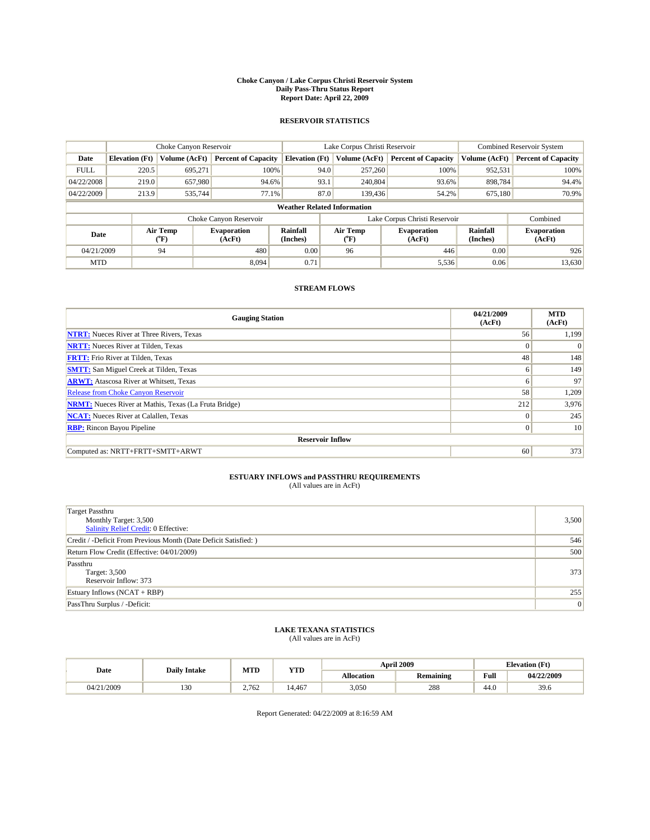#### **Choke Canyon / Lake Corpus Christi Reservoir System Daily Pass-Thru Status Report Report Date: April 22, 2009**

#### **RESERVOIR STATISTICS**

|             | Choke Canyon Reservoir             |                             |                              |                       | Lake Corpus Christi Reservoir |                          |                               |                      | <b>Combined Reservoir System</b> |  |
|-------------|------------------------------------|-----------------------------|------------------------------|-----------------------|-------------------------------|--------------------------|-------------------------------|----------------------|----------------------------------|--|
| Date        | <b>Elevation</b> (Ft)              | Volume (AcFt)               | <b>Percent of Capacity</b>   | <b>Elevation</b> (Ft) |                               | Volume (AcFt)            | <b>Percent of Capacity</b>    | Volume (AcFt)        | <b>Percent of Capacity</b>       |  |
| <b>FULL</b> | 220.5                              | 695,271                     | 100%                         |                       | 94.0                          | 257,260                  | 100%                          | 952,531              | 100%                             |  |
| 04/22/2008  | 219.0                              | 657,980                     | 94.6%                        |                       | 93.1                          | 240,804                  | 93.6%                         | 898,784              | 94.4%                            |  |
| 04/22/2009  | 213.9                              | 535.744                     | 77.1%                        |                       | 87.0                          | 139,436                  | 54.2%                         | 675,180              | 70.9%                            |  |
|             | <b>Weather Related Information</b> |                             |                              |                       |                               |                          |                               |                      |                                  |  |
|             |                                    |                             | Choke Canyon Reservoir       |                       |                               |                          | Lake Corpus Christi Reservoir |                      | Combined                         |  |
| Date        |                                    | Air Temp<br>${}^{\circ}$ F) | <b>Evaporation</b><br>(AcFt) | Rainfall<br>(Inches)  |                               | Air Temp<br>$\rm ^{o}F)$ | <b>Evaporation</b><br>(AcFt)  | Rainfall<br>(Inches) | <b>Evaporation</b><br>(AcFt)     |  |
| 04/21/2009  |                                    | 94                          | 480                          | 0.00                  |                               | 96                       | 446                           | 0.00                 | 926                              |  |
| <b>MTD</b>  |                                    |                             | 8.094                        | 0.71                  |                               |                          | 5,536                         | 0.06                 | 13,630                           |  |

### **STREAM FLOWS**

| <b>Gauging Station</b>                                       | 04/21/2009<br>(AcFt) | <b>MTD</b><br>(AcFt) |  |  |  |  |
|--------------------------------------------------------------|----------------------|----------------------|--|--|--|--|
| <b>NTRT:</b> Nueces River at Three Rivers, Texas             | 56                   | 1,199                |  |  |  |  |
| <b>NRTT:</b> Nueces River at Tilden, Texas                   | $\Omega$             |                      |  |  |  |  |
| <b>FRTT:</b> Frio River at Tilden, Texas                     | 48                   | 148                  |  |  |  |  |
| <b>SMTT:</b> San Miguel Creek at Tilden, Texas               | 6                    | 149                  |  |  |  |  |
| <b>ARWT:</b> Atascosa River at Whitsett, Texas               | 6                    | 97                   |  |  |  |  |
| <b>Release from Choke Canyon Reservoir</b>                   | 58                   | 1,209                |  |  |  |  |
| <b>NRMT:</b> Nueces River at Mathis, Texas (La Fruta Bridge) | 212                  | 3,976                |  |  |  |  |
| <b>NCAT:</b> Nueces River at Calallen, Texas                 | $\overline{0}$       | 245                  |  |  |  |  |
| <b>RBP:</b> Rincon Bayou Pipeline                            | $\overline{0}$       | 10                   |  |  |  |  |
| <b>Reservoir Inflow</b>                                      |                      |                      |  |  |  |  |
| Computed as: NRTT+FRTT+SMTT+ARWT                             | 60                   | 373                  |  |  |  |  |

# **ESTUARY INFLOWS and PASSTHRU REQUIREMENTS**<br>(All values are in AcFt)

| <b>Target Passthru</b><br>Monthly Target: 3,500<br>Salinity Relief Credit: 0 Effective: | 3,500 |
|-----------------------------------------------------------------------------------------|-------|
| Credit / -Deficit From Previous Month (Date Deficit Satisfied: )                        | 546   |
| Return Flow Credit (Effective: 04/01/2009)                                              | 500   |
| Passthru<br>Target: 3,500<br>Reservoir Inflow: 373                                      | 373   |
| Estuary Inflows $(NCAT + RBP)$                                                          | 255   |
| PassThru Surplus / -Deficit:                                                            | 0     |

## **LAKE TEXANA STATISTICS** (All values are in AcFt)

|            | <b>Daily Intake</b> | MTD   | <b>YTD</b> |                   | <b>April 2009</b> | <b>Elevation</b> (Ft)                       |            |
|------------|---------------------|-------|------------|-------------------|-------------------|---------------------------------------------|------------|
| Date       |                     |       |            | <b>Allocation</b> | <b>Remaining</b>  | Full<br>the contract of the contract of the | 04/22/2009 |
| 04/21/2009 | 130                 | 2.762 | 14.467     | 3,050             | 288               | 44.0                                        | 39.6       |

Report Generated: 04/22/2009 at 8:16:59 AM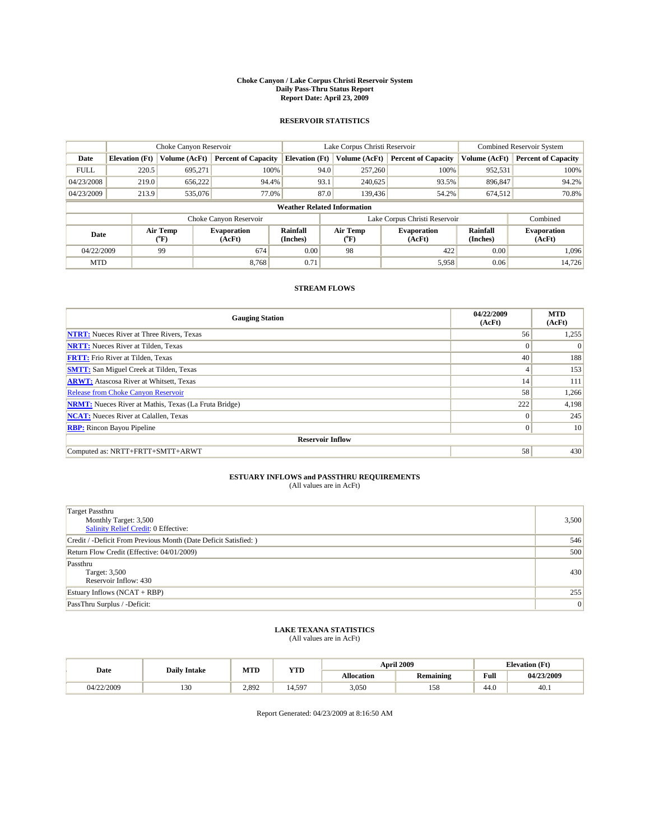#### **Choke Canyon / Lake Corpus Christi Reservoir System Daily Pass-Thru Status Report Report Date: April 23, 2009**

#### **RESERVOIR STATISTICS**

|             | Choke Canyon Reservoir             |                          |                              |                       | Lake Corpus Christi Reservoir |                          |                               |                      | <b>Combined Reservoir System</b> |  |
|-------------|------------------------------------|--------------------------|------------------------------|-----------------------|-------------------------------|--------------------------|-------------------------------|----------------------|----------------------------------|--|
| Date        | <b>Elevation</b> (Ft)              | Volume (AcFt)            | <b>Percent of Capacity</b>   | <b>Elevation (Ft)</b> |                               | Volume (AcFt)            | <b>Percent of Capacity</b>    | Volume (AcFt)        | <b>Percent of Capacity</b>       |  |
| <b>FULL</b> | 220.5                              | 695,271                  | 100%                         |                       | 94.0                          | 257,260                  | 100%                          | 952,531              | 100%                             |  |
| 04/23/2008  | 219.0                              | 656,222                  | 94.4%                        |                       | 93.1                          | 240,625                  | 93.5%                         | 896,847              | 94.2%                            |  |
| 04/23/2009  | 213.9                              | 535,076                  | 77.0%                        |                       | 87.0                          | 139,436                  | 54.2%                         | 674,512              | 70.8%                            |  |
|             | <b>Weather Related Information</b> |                          |                              |                       |                               |                          |                               |                      |                                  |  |
|             |                                    |                          | Choke Canyon Reservoir       |                       |                               |                          | Lake Corpus Christi Reservoir |                      | Combined                         |  |
| Date        |                                    | Air Temp<br>$\rm ^{o}F)$ | <b>Evaporation</b><br>(AcFt) | Rainfall<br>(Inches)  |                               | Air Temp<br>$\rm ^{o}F)$ | <b>Evaporation</b><br>(AcFt)  | Rainfall<br>(Inches) | <b>Evaporation</b><br>(AcFt)     |  |
| 04/22/2009  |                                    | 99                       | 674                          | 0.00                  |                               | 98                       | 422                           | 0.00                 | 1.096                            |  |
| <b>MTD</b>  |                                    |                          | 8.768                        | 0.71                  |                               |                          | 5,958                         | 0.06                 | 14,726                           |  |

### **STREAM FLOWS**

| <b>Gauging Station</b>                                       | 04/22/2009<br>(AcFt) | <b>MTD</b><br>(AcFt) |  |  |  |  |
|--------------------------------------------------------------|----------------------|----------------------|--|--|--|--|
| <b>NTRT:</b> Nueces River at Three Rivers, Texas             | 56                   | 1,255                |  |  |  |  |
| <b>NRTT:</b> Nueces River at Tilden, Texas                   | $\mathbf{0}$         |                      |  |  |  |  |
| <b>FRTT:</b> Frio River at Tilden, Texas                     | 40                   | 188                  |  |  |  |  |
| <b>SMTT:</b> San Miguel Creek at Tilden, Texas               | 4                    | 153                  |  |  |  |  |
| <b>ARWT:</b> Atascosa River at Whitsett, Texas               | 14                   | 111                  |  |  |  |  |
| Release from Choke Canyon Reservoir                          | 58                   | 1,266                |  |  |  |  |
| <b>NRMT:</b> Nueces River at Mathis, Texas (La Fruta Bridge) | 222                  | 4,198                |  |  |  |  |
| <b>NCAT:</b> Nueces River at Calallen, Texas                 | $\overline{0}$       | 245                  |  |  |  |  |
| <b>RBP:</b> Rincon Bayou Pipeline                            | $\overline{0}$       | 10                   |  |  |  |  |
| <b>Reservoir Inflow</b>                                      |                      |                      |  |  |  |  |
| Computed as: NRTT+FRTT+SMTT+ARWT                             | 58                   | 430                  |  |  |  |  |

# **ESTUARY INFLOWS and PASSTHRU REQUIREMENTS**<br>(All values are in AcFt)

| <b>Target Passthru</b><br>Monthly Target: 3,500<br>Salinity Relief Credit: 0 Effective: | 3,500 |
|-----------------------------------------------------------------------------------------|-------|
| Credit / -Deficit From Previous Month (Date Deficit Satisfied: )                        | 546   |
| Return Flow Credit (Effective: 04/01/2009)                                              | 500   |
| Passthru<br>Target: 3,500<br>Reservoir Inflow: 430                                      | 430   |
| Estuary Inflows $(NCAT + RBP)$                                                          | 255   |
| PassThru Surplus / -Deficit:                                                            | 0     |

## **LAKE TEXANA STATISTICS** (All values are in AcFt)

| Date       | <b>Daily Intake</b> | MTD   | <b>YTD</b> |                   | <b>April 2009</b> | <b>Elevation</b> (Ft) |            |
|------------|---------------------|-------|------------|-------------------|-------------------|-----------------------|------------|
|            |                     |       |            | <b>Allocation</b> | <b>Remaining</b>  | Full                  | 04/23/2009 |
| 04/22/2009 | 12(<br>1.JU         | 2,892 | 597        | 3.050             | 158               | 44.0                  | 40.1       |

Report Generated: 04/23/2009 at 8:16:50 AM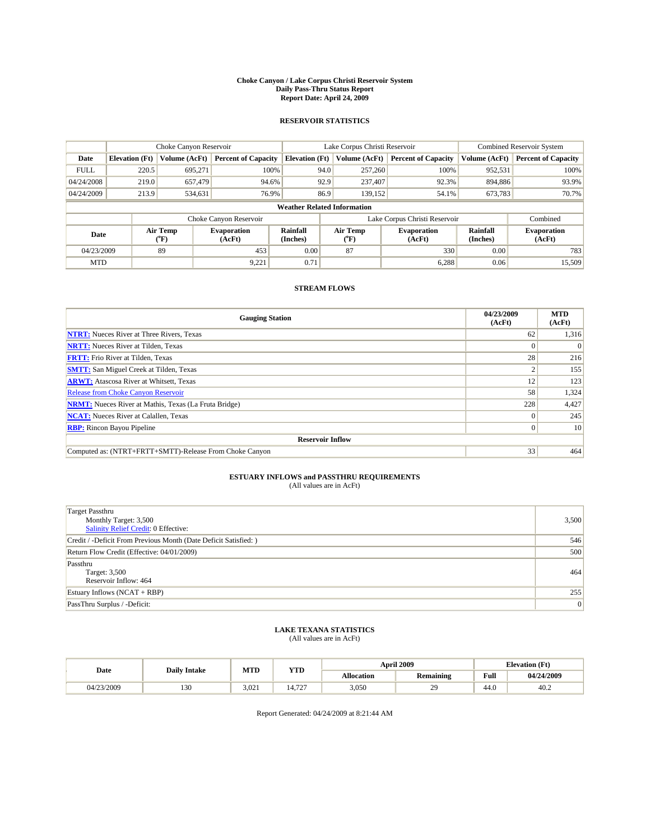#### **Choke Canyon / Lake Corpus Christi Reservoir System Daily Pass-Thru Status Report Report Date: April 24, 2009**

#### **RESERVOIR STATISTICS**

|             | Choke Canyon Reservoir             |                  |                              |                       | Lake Corpus Christi Reservoir | <b>Combined Reservoir System</b> |                      |                              |  |
|-------------|------------------------------------|------------------|------------------------------|-----------------------|-------------------------------|----------------------------------|----------------------|------------------------------|--|
| Date        | <b>Elevation</b> (Ft)              | Volume (AcFt)    | <b>Percent of Capacity</b>   | <b>Elevation</b> (Ft) | Volume (AcFt)                 | <b>Percent of Capacity</b>       | Volume (AcFt)        | <b>Percent of Capacity</b>   |  |
| <b>FULL</b> | 220.5                              | 695,271          | 100%                         | 94.0                  | 257,260                       | 100%                             | 952,531              | 100%                         |  |
| 04/24/2008  | 219.0                              | 657,479          | 94.6%                        | 92.9                  | 237,407                       | 92.3%                            | 894,886              | 93.9%                        |  |
| 04/24/2009  | 213.9                              | 534,631          | 76.9%                        | 86.9                  | 139,152                       | 54.1%                            | 673,783              | 70.7%                        |  |
|             | <b>Weather Related Information</b> |                  |                              |                       |                               |                                  |                      |                              |  |
|             |                                    |                  | Choke Canyon Reservoir       |                       |                               | Lake Corpus Christi Reservoir    |                      | Combined                     |  |
| Date        |                                    | Air Temp<br>(°F) | <b>Evaporation</b><br>(AcFt) | Rainfall<br>(Inches)  | Air Temp<br>("F)              | <b>Evaporation</b><br>(AcFt)     | Rainfall<br>(Inches) | <b>Evaporation</b><br>(AcFt) |  |
| 04/23/2009  |                                    | 89               | 453                          | 0.00                  | 87                            | 330                              | 0.00                 | 783                          |  |
| <b>MTD</b>  |                                    |                  | 9,221                        | 0.71                  |                               | 6,288                            | 0.06                 | 15,509                       |  |

### **STREAM FLOWS**

| <b>Gauging Station</b>                                       | 04/23/2009<br>(AcFt) | <b>MTD</b><br>(AcFt) |  |  |  |  |  |
|--------------------------------------------------------------|----------------------|----------------------|--|--|--|--|--|
| <b>NTRT:</b> Nueces River at Three Rivers, Texas             | 62                   | 1,316                |  |  |  |  |  |
| <b>NRTT:</b> Nueces River at Tilden, Texas                   | $\Omega$             |                      |  |  |  |  |  |
| <b>FRTT:</b> Frio River at Tilden, Texas                     | 28                   | 216                  |  |  |  |  |  |
| <b>SMTT:</b> San Miguel Creek at Tilden, Texas               |                      | 155                  |  |  |  |  |  |
| <b>ARWT:</b> Atascosa River at Whitsett, Texas               | 12                   | 123                  |  |  |  |  |  |
| <b>Release from Choke Canyon Reservoir</b>                   | 58                   | 1,324                |  |  |  |  |  |
| <b>NRMT:</b> Nueces River at Mathis, Texas (La Fruta Bridge) | 228                  | 4,427                |  |  |  |  |  |
| <b>NCAT:</b> Nueces River at Calallen, Texas                 | $\theta$             | 245                  |  |  |  |  |  |
| <b>RBP:</b> Rincon Bayou Pipeline                            | $\overline{0}$       | 10                   |  |  |  |  |  |
| <b>Reservoir Inflow</b>                                      |                      |                      |  |  |  |  |  |
| Computed as: (NTRT+FRTT+SMTT)-Release From Choke Canyon      | 33                   | 464                  |  |  |  |  |  |

# **ESTUARY INFLOWS and PASSTHRU REQUIREMENTS**<br>(All values are in AcFt)

| <b>Target Passthru</b><br>Monthly Target: 3,500<br>Salinity Relief Credit: 0 Effective: | 3,500 |
|-----------------------------------------------------------------------------------------|-------|
| Credit / -Deficit From Previous Month (Date Deficit Satisfied: )                        | 546   |
| Return Flow Credit (Effective: 04/01/2009)                                              | 500   |
| Passthru<br>Target: 3,500<br>Reservoir Inflow: 464                                      | 464   |
| Estuary Inflows $(NCAT + RBP)$                                                          | 255   |
| PassThru Surplus / -Deficit:                                                            | 0     |

## **LAKE TEXANA STATISTICS** (All values are in AcFt)

|            | <b>Daily Intake</b> | MTD   | <b>YTD</b>                             |                   | <b>April 2009</b> | <b>Elevation</b> (Ft)                       |            |
|------------|---------------------|-------|----------------------------------------|-------------------|-------------------|---------------------------------------------|------------|
| Date       |                     |       |                                        | <b>Allocation</b> | Remaining         | Full<br>the contract of the contract of the | 04/24/2009 |
| 04/23/2009 | 130                 | 3.021 | $\overline{\phantom{a}}$<br>14.<br>ے ا | 3,050             | $\sim$<br>÷.      | 44.0                                        | 40.2       |

Report Generated: 04/24/2009 at 8:21:44 AM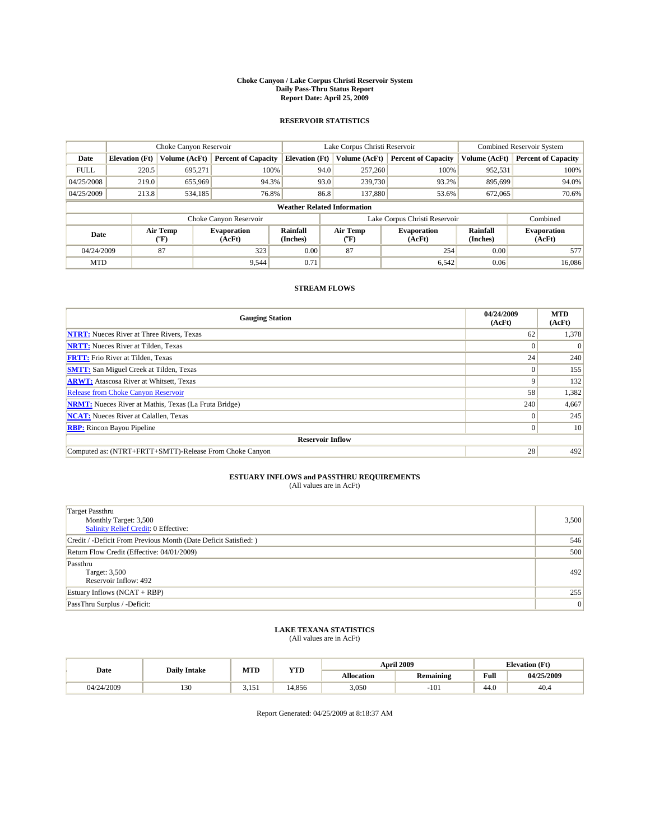#### **Choke Canyon / Lake Corpus Christi Reservoir System Daily Pass-Thru Status Report Report Date: April 25, 2009**

#### **RESERVOIR STATISTICS**

|                                    | Choke Canyon Reservoir |                             |                              |                       | Lake Corpus Christi Reservoir | <b>Combined Reservoir System</b> |                      |                              |
|------------------------------------|------------------------|-----------------------------|------------------------------|-----------------------|-------------------------------|----------------------------------|----------------------|------------------------------|
| Date                               | <b>Elevation</b> (Ft)  | Volume (AcFt)               | <b>Percent of Capacity</b>   | <b>Elevation (Ft)</b> | Volume (AcFt)                 | <b>Percent of Capacity</b>       | Volume (AcFt)        | <b>Percent of Capacity</b>   |
| <b>FULL</b>                        | 220.5                  | 695,271                     | 100%                         |                       | 257,260<br>94.0               | 100%                             | 952,531              | 100%                         |
| 04/25/2008                         | 219.0                  | 655,969                     | 94.3%                        |                       | 93.0<br>239,730               | 93.2%                            | 895,699              | 94.0%                        |
| 04/25/2009                         | 213.8                  | 534,185                     | 76.8%                        |                       | 86.8<br>137,880               | 53.6%                            | 672,065              | 70.6%                        |
| <b>Weather Related Information</b> |                        |                             |                              |                       |                               |                                  |                      |                              |
|                                    |                        |                             | Choke Canyon Reservoir       |                       | Lake Corpus Christi Reservoir |                                  | Combined             |                              |
| Date                               |                        | Air Temp<br>${}^{\circ}$ F) | <b>Evaporation</b><br>(AcFt) | Rainfall<br>(Inches)  | Air Temp<br>("F)              | <b>Evaporation</b><br>(AcFt)     | Rainfall<br>(Inches) | <b>Evaporation</b><br>(AcFt) |
| 04/24/2009                         |                        | 87                          | 323                          | 0.00                  | 87                            | 254                              | 0.00                 | 577                          |
| <b>MTD</b>                         |                        |                             | 9,544                        | 0.71                  |                               | 6,542                            | 0.06                 | 16.086                       |

### **STREAM FLOWS**

| <b>Gauging Station</b>                                       | 04/24/2009<br>(AcFt) | <b>MTD</b><br>(AcFt) |  |  |  |  |  |
|--------------------------------------------------------------|----------------------|----------------------|--|--|--|--|--|
| <b>NTRT:</b> Nueces River at Three Rivers, Texas             | 62                   | 1,378                |  |  |  |  |  |
| <b>NRTT:</b> Nueces River at Tilden, Texas                   |                      |                      |  |  |  |  |  |
| <b>FRTT:</b> Frio River at Tilden, Texas                     | 24                   | 240                  |  |  |  |  |  |
| <b>SMTT:</b> San Miguel Creek at Tilden, Texas               | $\theta$             | 155                  |  |  |  |  |  |
| <b>ARWT:</b> Atascosa River at Whitsett, Texas               | 9                    | 132                  |  |  |  |  |  |
| <b>Release from Choke Canyon Reservoir</b>                   | 58                   | 1,382                |  |  |  |  |  |
| <b>NRMT:</b> Nueces River at Mathis, Texas (La Fruta Bridge) | 240                  | 4,667                |  |  |  |  |  |
| <b>NCAT:</b> Nueces River at Calallen, Texas                 | $\theta$             | 245                  |  |  |  |  |  |
| <b>RBP:</b> Rincon Bayou Pipeline<br>$\overline{0}$          |                      |                      |  |  |  |  |  |
| <b>Reservoir Inflow</b>                                      |                      |                      |  |  |  |  |  |
| Computed as: (NTRT+FRTT+SMTT)-Release From Choke Canyon      | 28                   | 492                  |  |  |  |  |  |

# **ESTUARY INFLOWS and PASSTHRU REQUIREMENTS**<br>(All values are in AcFt)

| <b>Target Passthru</b><br>Monthly Target: 3,500<br>Salinity Relief Credit: 0 Effective: | 3,500 |
|-----------------------------------------------------------------------------------------|-------|
| Credit / -Deficit From Previous Month (Date Deficit Satisfied: )                        | 546   |
| Return Flow Credit (Effective: 04/01/2009)                                              | 500   |
| Passthru<br>Target: 3,500<br>Reservoir Inflow: 492                                      | 492   |
| Estuary Inflows (NCAT + RBP)                                                            | 255   |
| PassThru Surplus / -Deficit:                                                            | 0     |

## **LAKE TEXANA STATISTICS** (All values are in AcFt)

|            | <b>Daily Intake</b> | MTD   | <b>YTD</b> |                   | <b>April 2009</b> | <b>Elevation</b> (Ft)                       |            |
|------------|---------------------|-------|------------|-------------------|-------------------|---------------------------------------------|------------|
| Date       |                     |       |            | <b>Allocation</b> | Remaining         | Full<br>the contract of the contract of the | 04/25/2009 |
| 04/24/2009 | 130                 | 3.151 | 4.856      | 3,050             | $-101$            | 44.0                                        | 40.4       |

Report Generated: 04/25/2009 at 8:18:37 AM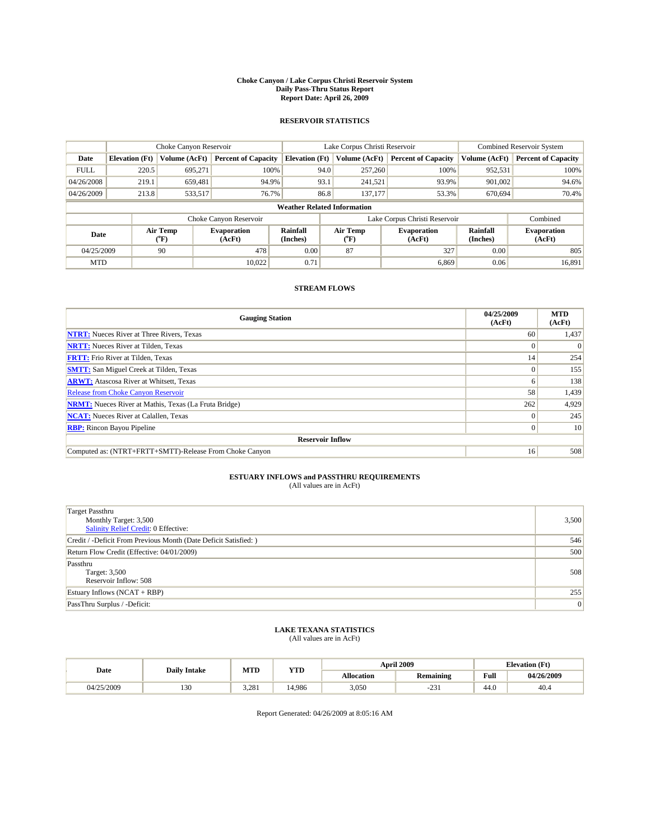#### **Choke Canyon / Lake Corpus Christi Reservoir System Daily Pass-Thru Status Report Report Date: April 26, 2009**

#### **RESERVOIR STATISTICS**

|             | Choke Canyon Reservoir             |                          |                              |                       | Lake Corpus Christi Reservoir | <b>Combined Reservoir System</b> |                      |                              |  |
|-------------|------------------------------------|--------------------------|------------------------------|-----------------------|-------------------------------|----------------------------------|----------------------|------------------------------|--|
| Date        | <b>Elevation</b> (Ft)              | Volume (AcFt)            | <b>Percent of Capacity</b>   | <b>Elevation (Ft)</b> | Volume (AcFt)                 | <b>Percent of Capacity</b>       | Volume (AcFt)        | <b>Percent of Capacity</b>   |  |
| <b>FULL</b> | 220.5                              | 695,271                  | 100%                         | 94.0                  | 257,260                       | 100%                             | 952,531              | 100%                         |  |
| 04/26/2008  | 219.1                              | 659.481                  | 94.9%                        | 93.1                  | 241,521                       | 93.9%                            | 901.002              | 94.6%                        |  |
| 04/26/2009  | 213.8                              | 533,517                  | 76.7%                        | 86.8                  | 137,177                       | 53.3%                            | 670,694              | 70.4%                        |  |
|             | <b>Weather Related Information</b> |                          |                              |                       |                               |                                  |                      |                              |  |
|             |                                    |                          | Choke Canyon Reservoir       |                       | Lake Corpus Christi Reservoir |                                  | Combined             |                              |  |
| Date        |                                    | Air Temp<br>$\rm ^{o}F)$ | <b>Evaporation</b><br>(AcFt) | Rainfall<br>(Inches)  | Air Temp<br>("F)              | <b>Evaporation</b><br>(AcFt)     | Rainfall<br>(Inches) | <b>Evaporation</b><br>(AcFt) |  |
| 04/25/2009  |                                    | 90                       | 478                          | 0.00                  | 87                            | 327                              | 0.00                 | 805                          |  |
| <b>MTD</b>  |                                    |                          | 10.022                       | 0.71                  |                               | 6,869                            | 0.06                 | 16,891                       |  |

### **STREAM FLOWS**

| <b>Gauging Station</b>                                       | 04/25/2009<br>(AcFt) | <b>MTD</b><br>(AcFt) |  |  |  |  |  |
|--------------------------------------------------------------|----------------------|----------------------|--|--|--|--|--|
| <b>NTRT:</b> Nueces River at Three Rivers, Texas             | 60                   | 1,437                |  |  |  |  |  |
| <b>NRTT:</b> Nueces River at Tilden, Texas                   | $\Omega$             |                      |  |  |  |  |  |
| <b>FRTT:</b> Frio River at Tilden, Texas                     | 14                   | 254                  |  |  |  |  |  |
| <b>SMTT:</b> San Miguel Creek at Tilden, Texas               | $\theta$             | 155                  |  |  |  |  |  |
| <b>ARWT:</b> Atascosa River at Whitsett, Texas               | o                    | 138                  |  |  |  |  |  |
| <b>Release from Choke Canyon Reservoir</b>                   | 58                   | 1,439                |  |  |  |  |  |
| <b>NRMT:</b> Nueces River at Mathis, Texas (La Fruta Bridge) | 262                  | 4,929                |  |  |  |  |  |
| <b>NCAT:</b> Nueces River at Calallen, Texas                 | $\theta$             | 245                  |  |  |  |  |  |
| <b>RBP:</b> Rincon Bayou Pipeline                            | $\overline{0}$       | 10                   |  |  |  |  |  |
| <b>Reservoir Inflow</b>                                      |                      |                      |  |  |  |  |  |
| Computed as: (NTRT+FRTT+SMTT)-Release From Choke Canyon      | 16                   | 508                  |  |  |  |  |  |

# **ESTUARY INFLOWS and PASSTHRU REQUIREMENTS**<br>(All values are in AcFt)

| <b>Target Passthru</b><br>Monthly Target: 3,500<br>Salinity Relief Credit: 0 Effective: | 3,500 |
|-----------------------------------------------------------------------------------------|-------|
| Credit / -Deficit From Previous Month (Date Deficit Satisfied: )                        | 546   |
| Return Flow Credit (Effective: 04/01/2009)                                              | 500   |
| Passthru<br>Target: 3,500<br>Reservoir Inflow: 508                                      | 508   |
| Estuary Inflows (NCAT + RBP)                                                            | 255   |
| PassThru Surplus / -Deficit:                                                            | 0     |

## **LAKE TEXANA STATISTICS** (All values are in AcFt)

| Date       | <b>Daily Intake</b>     | MTD   | YTD        |                   | <b>April 2009</b> | <b>Elevation</b> (Ft) |            |
|------------|-------------------------|-------|------------|-------------------|-------------------|-----------------------|------------|
|            |                         |       |            | <b>Allocation</b> | <b>Remaining</b>  | Full                  | 04/26/2009 |
| 04/25/2009 | 0 <sup>0</sup><br>1 J U | 3.281 | 1.986<br>∸ | 3,050             | $\sim$<br>-23.    | 44.0                  | 40.4       |

Report Generated: 04/26/2009 at 8:05:16 AM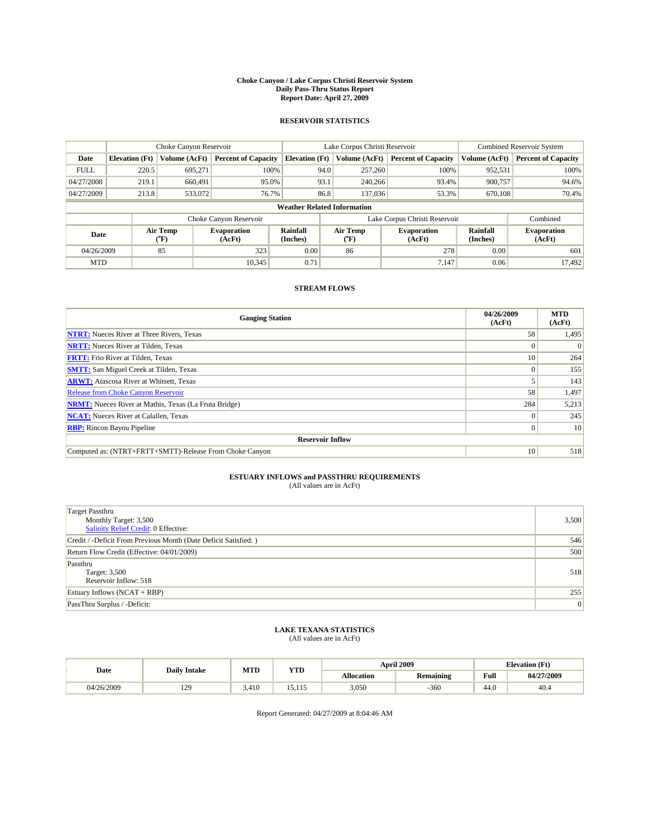#### **Choke Canyon / Lake Corpus Christi Reservoir System Daily Pass-Thru Status Report Report Date: April 27, 2009**

#### **RESERVOIR STATISTICS**

|             | Choke Canyon Reservoir             |                  |                              |                       | Lake Corpus Christi Reservoir | <b>Combined Reservoir System</b> |                      |                              |  |
|-------------|------------------------------------|------------------|------------------------------|-----------------------|-------------------------------|----------------------------------|----------------------|------------------------------|--|
| Date        | <b>Elevation</b> (Ft)              | Volume (AcFt)    | <b>Percent of Capacity</b>   | <b>Elevation</b> (Ft) | Volume (AcFt)                 | <b>Percent of Capacity</b>       | Volume (AcFt)        | <b>Percent of Capacity</b>   |  |
| <b>FULL</b> | 220.5                              | 695,271          | 100%                         | 94.0                  | 257,260                       | 100%                             | 952,531              | 100%                         |  |
| 04/27/2008  | 219.1                              | 660,491          | 95.0%                        | 93.1                  | 240,266                       | 93.4%                            | 900,757              | 94.6%                        |  |
| 04/27/2009  | 213.8                              | 533,072          | 76.7%                        | 86.8                  | 137,036                       | 53.3%                            | 670,108              | 70.4%                        |  |
|             | <b>Weather Related Information</b> |                  |                              |                       |                               |                                  |                      |                              |  |
|             |                                    |                  | Choke Canyon Reservoir       |                       |                               | Lake Corpus Christi Reservoir    |                      | Combined                     |  |
| Date        |                                    | Air Temp<br>(°F) | <b>Evaporation</b><br>(AcFt) | Rainfall<br>(Inches)  | Air Temp<br>("F)              | <b>Evaporation</b><br>(AcFt)     | Rainfall<br>(Inches) | <b>Evaporation</b><br>(AcFt) |  |
| 04/26/2009  |                                    | 85               | 323                          | 0.00                  | 86                            | 278                              | 0.00                 | 601                          |  |
| <b>MTD</b>  |                                    |                  | 10.345                       | 0.71                  |                               | 7,147                            | 0.06                 | 17.492                       |  |

### **STREAM FLOWS**

| <b>Gauging Station</b>                                       | 04/26/2009<br>(AcFt) | <b>MTD</b><br>(AcFt) |  |  |  |  |  |
|--------------------------------------------------------------|----------------------|----------------------|--|--|--|--|--|
| <b>NTRT:</b> Nueces River at Three Rivers, Texas             | 58                   | 1,495                |  |  |  |  |  |
| <b>NRTT:</b> Nueces River at Tilden, Texas                   | $\Omega$             |                      |  |  |  |  |  |
| <b>FRTT:</b> Frio River at Tilden, Texas                     | 10                   | 264                  |  |  |  |  |  |
| <b>SMTT:</b> San Miguel Creek at Tilden, Texas               | $\theta$             | 155                  |  |  |  |  |  |
| <b>ARWT:</b> Atascosa River at Whitsett, Texas               |                      | 143                  |  |  |  |  |  |
| <b>Release from Choke Canyon Reservoir</b>                   | 58                   | 1,497                |  |  |  |  |  |
| <b>NRMT:</b> Nueces River at Mathis, Texas (La Fruta Bridge) | 284                  | 5,213                |  |  |  |  |  |
| <b>NCAT:</b> Nueces River at Calallen, Texas                 | $\theta$             | 245                  |  |  |  |  |  |
| <b>RBP:</b> Rincon Bayou Pipeline                            | $\overline{0}$       | 10                   |  |  |  |  |  |
| <b>Reservoir Inflow</b>                                      |                      |                      |  |  |  |  |  |
| Computed as: (NTRT+FRTT+SMTT)-Release From Choke Canyon      | 10                   | 518                  |  |  |  |  |  |

# **ESTUARY INFLOWS and PASSTHRU REQUIREMENTS**<br>(All values are in AcFt)

| <b>Target Passthru</b><br>Monthly Target: 3,500<br>Salinity Relief Credit: 0 Effective: | 3,500 |
|-----------------------------------------------------------------------------------------|-------|
| Credit / -Deficit From Previous Month (Date Deficit Satisfied: )                        | 546   |
| Return Flow Credit (Effective: 04/01/2009)                                              | 500   |
| Passthru<br>Target: 3,500<br>Reservoir Inflow: 518                                      | 518   |
| Estuary Inflows (NCAT + RBP)                                                            | 255   |
| PassThru Surplus / -Deficit:                                                            | 0     |

## **LAKE TEXANA STATISTICS** (All values are in AcFt)

|            | <b>Daily Intake</b>   | MTD   | YTD    |                   | <b>April 2009</b> | <b>Elevation</b> (Ft)                       |            |
|------------|-----------------------|-------|--------|-------------------|-------------------|---------------------------------------------|------------|
| Date       |                       |       |        | <b>Allocation</b> | <b>Remaining</b>  | Full<br>the contract of the contract of the | 04/27/2009 |
| 04/26/2009 | 120<br>$\overline{1}$ | 3.410 | 10.ILV | 3,050             | $-360$            | 44.0                                        | 40.4       |

Report Generated: 04/27/2009 at 8:04:46 AM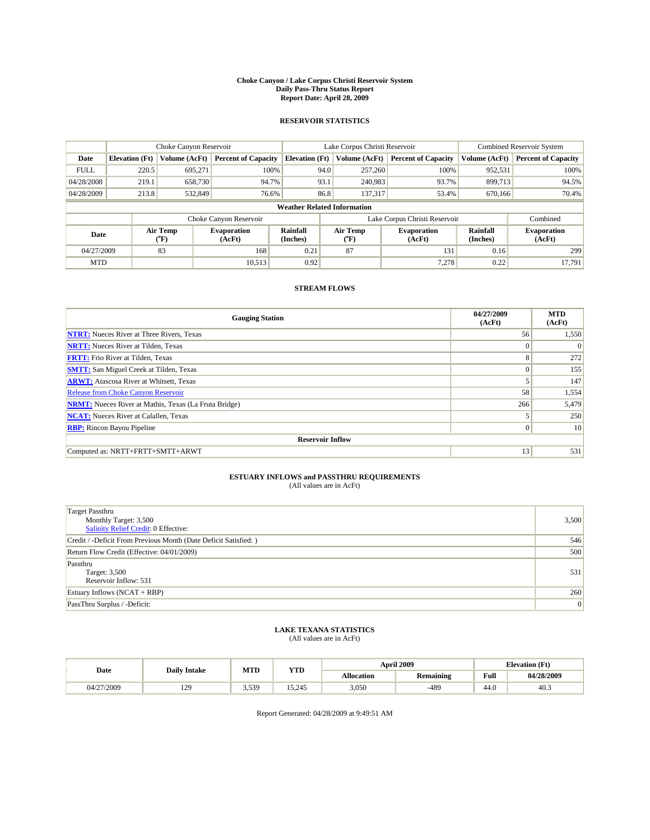#### **Choke Canyon / Lake Corpus Christi Reservoir System Daily Pass-Thru Status Report Report Date: April 28, 2009**

#### **RESERVOIR STATISTICS**

|             | Choke Canyon Reservoir             |                          |                              |                       | Lake Corpus Christi Reservoir | <b>Combined Reservoir System</b> |                      |                              |  |
|-------------|------------------------------------|--------------------------|------------------------------|-----------------------|-------------------------------|----------------------------------|----------------------|------------------------------|--|
| Date        | <b>Elevation</b> (Ft)              | Volume (AcFt)            | <b>Percent of Capacity</b>   | <b>Elevation (Ft)</b> | Volume (AcFt)                 | <b>Percent of Capacity</b>       | Volume (AcFt)        | <b>Percent of Capacity</b>   |  |
| <b>FULL</b> | 220.5                              | 695,271                  | 100%                         | 94.0                  | 257,260                       | 100%                             | 952,531              | 100%                         |  |
| 04/28/2008  | 219.1                              | 658,730                  | 94.7%                        | 93.1                  | 240,983                       | 93.7%                            | 899,713              | 94.5%                        |  |
| 04/28/2009  | 213.8                              | 532,849                  | 76.6%                        | 86.8                  | 137.317                       | 53.4%                            | 670,166              | 70.4%                        |  |
|             | <b>Weather Related Information</b> |                          |                              |                       |                               |                                  |                      |                              |  |
|             |                                    |                          | Choke Canyon Reservoir       |                       | Lake Corpus Christi Reservoir |                                  | Combined             |                              |  |
| Date        |                                    | Air Temp<br>$\rm ^{o}F)$ | <b>Evaporation</b><br>(AcFt) | Rainfall<br>(Inches)  | Air Temp<br>("F)              | <b>Evaporation</b><br>(AcFt)     | Rainfall<br>(Inches) | <b>Evaporation</b><br>(AcFt) |  |
| 04/27/2009  |                                    | 83                       | 168                          | 0.21                  | 87                            | 131                              | 0.16                 | 299                          |  |
| <b>MTD</b>  |                                    |                          | 10,513                       | 0.92                  |                               | 7,278                            | 0.22                 | 17.791                       |  |

### **STREAM FLOWS**

| <b>Gauging Station</b>                                       | 04/27/2009<br>(AcFt) | <b>MTD</b><br>(AcFt) |  |  |  |  |
|--------------------------------------------------------------|----------------------|----------------------|--|--|--|--|
| <b>NTRT:</b> Nueces River at Three Rivers, Texas             | 56                   | 1,550                |  |  |  |  |
| <b>NRTT:</b> Nueces River at Tilden, Texas                   | $\Omega$             |                      |  |  |  |  |
| <b>FRTT:</b> Frio River at Tilden, Texas                     | 8                    | 272                  |  |  |  |  |
| <b>SMTT:</b> San Miguel Creek at Tilden, Texas               | $\Omega$             | 155                  |  |  |  |  |
| <b>ARWT:</b> Atascosa River at Whitsett, Texas               |                      | 147                  |  |  |  |  |
| Release from Choke Canyon Reservoir                          | 58                   | 1,554                |  |  |  |  |
| <b>NRMT:</b> Nueces River at Mathis, Texas (La Fruta Bridge) | 266                  | 5,479                |  |  |  |  |
| <b>NCAT:</b> Nueces River at Calallen, Texas                 |                      | 250                  |  |  |  |  |
| <b>RBP:</b> Rincon Bayou Pipeline                            | $\mathbf{0}$         | 10                   |  |  |  |  |
| <b>Reservoir Inflow</b>                                      |                      |                      |  |  |  |  |
| Computed as: NRTT+FRTT+SMTT+ARWT                             | 13                   | 531                  |  |  |  |  |

# **ESTUARY INFLOWS and PASSTHRU REQUIREMENTS**<br>(All values are in AcFt)

| <b>Target Passthru</b><br>Monthly Target: 3,500<br>Salinity Relief Credit: 0 Effective: | 3,500 |
|-----------------------------------------------------------------------------------------|-------|
| Credit / -Deficit From Previous Month (Date Deficit Satisfied: )                        | 546   |
| Return Flow Credit (Effective: 04/01/2009)                                              | 500   |
| Passthru<br>Target: 3,500<br>Reservoir Inflow: 531                                      | 531   |
| Estuary Inflows $(NCAT + RBP)$                                                          | 260   |
| PassThru Surplus / -Deficit:                                                            | 0     |

## **LAKE TEXANA STATISTICS** (All values are in AcFt)

|            | <b>Daily Intake</b> | MTD   | <b>YTD</b> |                   | <b>April 2009</b> | <b>Elevation</b> (Ft)                       |            |
|------------|---------------------|-------|------------|-------------------|-------------------|---------------------------------------------|------------|
| Date       |                     |       |            | <b>Allocation</b> | Remaining         | Full<br>the contract of the contract of the | 04/28/2009 |
| 04/27/2009 | 120<br>1/2          | 3.539 | 15.245     | 3,050             | $-489$            | 44.0                                        | 40.3       |

Report Generated: 04/28/2009 at 9:49:51 AM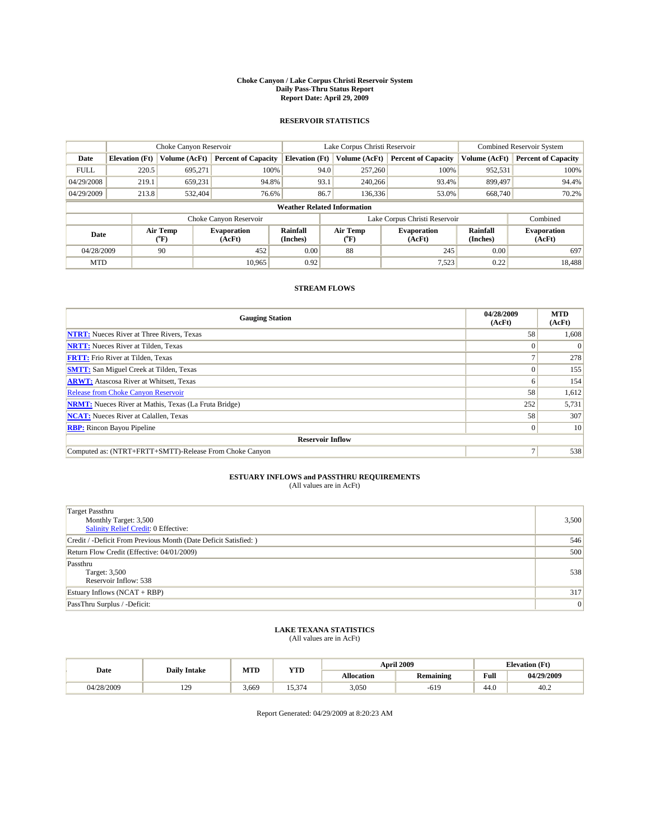#### **Choke Canyon / Lake Corpus Christi Reservoir System Daily Pass-Thru Status Report Report Date: April 29, 2009**

#### **RESERVOIR STATISTICS**

|             | Choke Canyon Reservoir             |                  |                              |                       | Lake Corpus Christi Reservoir | <b>Combined Reservoir System</b> |                      |                              |  |
|-------------|------------------------------------|------------------|------------------------------|-----------------------|-------------------------------|----------------------------------|----------------------|------------------------------|--|
| Date        | <b>Elevation</b> (Ft)              | Volume (AcFt)    | <b>Percent of Capacity</b>   | <b>Elevation</b> (Ft) | Volume (AcFt)                 | <b>Percent of Capacity</b>       | Volume (AcFt)        | <b>Percent of Capacity</b>   |  |
| <b>FULL</b> | 220.5                              | 695,271          | 100%                         | 94.0                  | 257,260                       | 100%                             | 952,531              | 100%                         |  |
| 04/29/2008  | 219.1                              | 659,231          | 94.8%                        | 93.1                  | 240,266                       | 93.4%                            | 899,497              | 94.4%                        |  |
| 04/29/2009  | 213.8                              | 532,404          | 76.6%                        | 86.7                  | 136,336                       | 53.0%                            | 668,740              | 70.2%                        |  |
|             | <b>Weather Related Information</b> |                  |                              |                       |                               |                                  |                      |                              |  |
|             |                                    |                  | Choke Canyon Reservoir       |                       |                               | Lake Corpus Christi Reservoir    |                      | Combined                     |  |
| Date        |                                    | Air Temp<br>(°F) | <b>Evaporation</b><br>(AcFt) | Rainfall<br>(Inches)  | Air Temp<br>$\rm ^{(o}F)$     | <b>Evaporation</b><br>(AcFt)     | Rainfall<br>(Inches) | <b>Evaporation</b><br>(AcFt) |  |
| 04/28/2009  |                                    | 90               | 452                          | 0.00                  | 88                            | 245                              | 0.00                 | 697                          |  |
| <b>MTD</b>  |                                    |                  | 10.965                       | 0.92                  |                               | 7,523                            | 0.22                 | 18.488                       |  |

### **STREAM FLOWS**

| <b>Gauging Station</b>                                       | 04/28/2009<br>(AcFt) | <b>MTD</b><br>(AcFt) |  |  |  |  |  |
|--------------------------------------------------------------|----------------------|----------------------|--|--|--|--|--|
| <b>NTRT:</b> Nueces River at Three Rivers, Texas             | 58                   | 1,608                |  |  |  |  |  |
| <b>NRTT:</b> Nueces River at Tilden, Texas                   |                      |                      |  |  |  |  |  |
| <b>FRTT:</b> Frio River at Tilden, Texas                     |                      | 278                  |  |  |  |  |  |
| <b>SMTT:</b> San Miguel Creek at Tilden, Texas               |                      | 155                  |  |  |  |  |  |
| <b>ARWT:</b> Atascosa River at Whitsett, Texas               | o                    | 154                  |  |  |  |  |  |
| <b>Release from Choke Canyon Reservoir</b>                   | 58                   | 1,612                |  |  |  |  |  |
| <b>NRMT:</b> Nueces River at Mathis, Texas (La Fruta Bridge) | 252                  | 5,731                |  |  |  |  |  |
| <b>NCAT:</b> Nueces River at Calallen, Texas                 | 58                   | 307                  |  |  |  |  |  |
| <b>RBP:</b> Rincon Bayou Pipeline                            | $\overline{0}$       | 10                   |  |  |  |  |  |
| <b>Reservoir Inflow</b>                                      |                      |                      |  |  |  |  |  |
| Computed as: (NTRT+FRTT+SMTT)-Release From Choke Canyon      |                      | 538                  |  |  |  |  |  |

# **ESTUARY INFLOWS and PASSTHRU REQUIREMENTS**<br>(All values are in AcFt)

| <b>Target Passthru</b><br>Monthly Target: 3,500<br>Salinity Relief Credit: 0 Effective: | 3,500 |
|-----------------------------------------------------------------------------------------|-------|
| Credit / -Deficit From Previous Month (Date Deficit Satisfied: )                        | 546   |
| Return Flow Credit (Effective: 04/01/2009)                                              | 500   |
| Passthru<br>Target: 3,500<br>Reservoir Inflow: 538                                      | 538   |
| Estuary Inflows (NCAT + RBP)                                                            | 317   |
| PassThru Surplus / -Deficit:                                                            | 0     |

## **LAKE TEXANA STATISTICS** (All values are in AcFt)

|            | <b>Daily Intake</b>   | MTD   | <b>YTD</b> |                   | <b>April 2009</b> | <b>Elevation</b> (Ft)                       |            |
|------------|-----------------------|-------|------------|-------------------|-------------------|---------------------------------------------|------------|
| Date       |                       |       |            | <b>Allocation</b> | <b>Remaining</b>  | Full<br>the contract of the contract of the | 04/29/2009 |
| 04/28/2009 | 120<br>$\overline{1}$ | 3.669 | $\sim$     | 3,050             | $-619$            | 44.0                                        | 40.2       |

Report Generated: 04/29/2009 at 8:20:23 AM